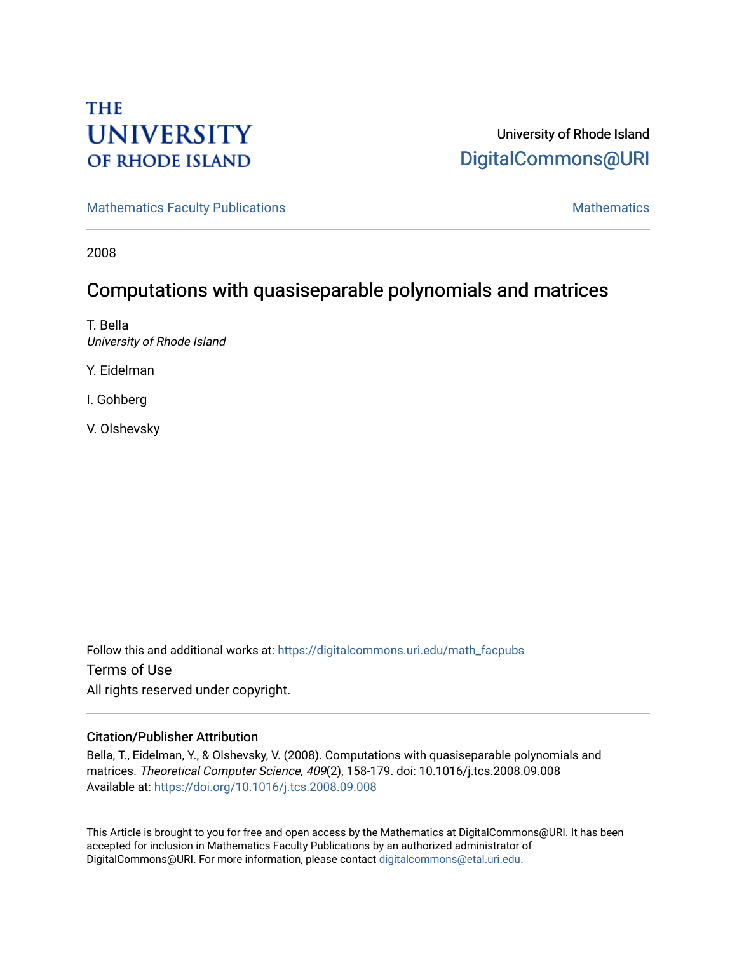# **THE UNIVERSITY OF RHODE ISLAND**

# University of Rhode Island [DigitalCommons@URI](https://digitalcommons.uri.edu/)

[Mathematics Faculty Publications](https://digitalcommons.uri.edu/math_facpubs) [Mathematics](https://digitalcommons.uri.edu/math) Mathematics Mathematics

2008

# Computations with quasiseparable polynomials and matrices

T. Bella University of Rhode Island

Y. Eidelman

I. Gohberg

V. Olshevsky

Follow this and additional works at: [https://digitalcommons.uri.edu/math\\_facpubs](https://digitalcommons.uri.edu/math_facpubs?utm_source=digitalcommons.uri.edu%2Fmath_facpubs%2F42&utm_medium=PDF&utm_campaign=PDFCoverPages)  Terms of Use All rights reserved under copyright.

# Citation/Publisher Attribution

Bella, T., Eidelman, Y., & Olshevsky, V. (2008). Computations with quasiseparable polynomials and matrices. Theoretical Computer Science, 409(2), 158-179. doi: 10.1016/j.tcs.2008.09.008 Available at:<https://doi.org/10.1016/j.tcs.2008.09.008>

This Article is brought to you for free and open access by the Mathematics at DigitalCommons@URI. It has been accepted for inclusion in Mathematics Faculty Publications by an authorized administrator of DigitalCommons@URI. For more information, please contact [digitalcommons@etal.uri.edu.](mailto:digitalcommons@etal.uri.edu)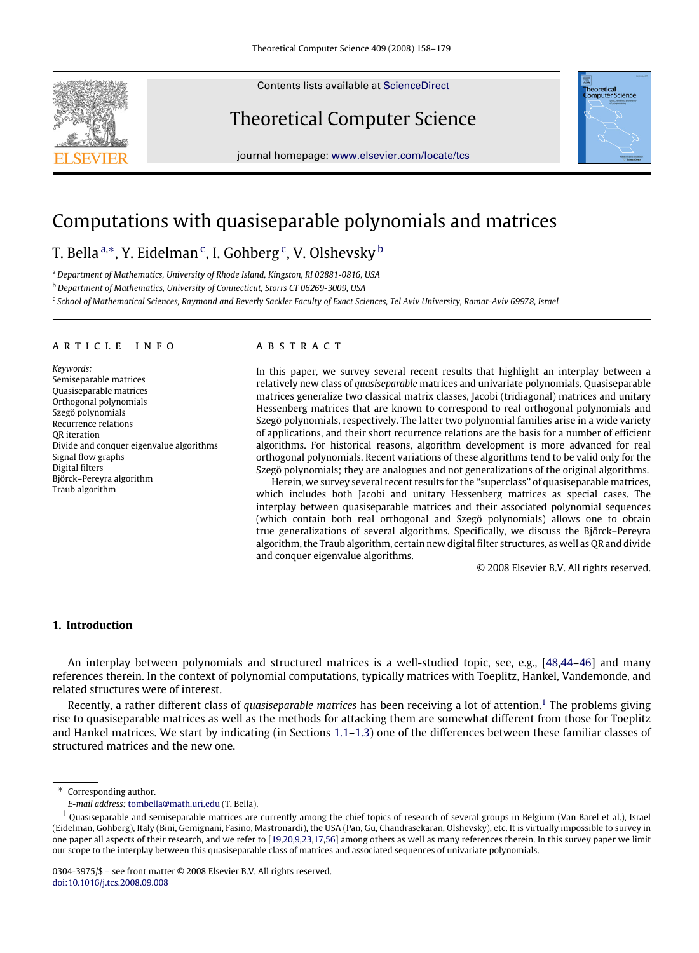Contents lists available at [ScienceDirect](http://www.elsevier.com/locate/tcs)

# Theoretical Computer Science

journal homepage: [www.elsevier.com/locate/tcs](http://www.elsevier.com/locate/tcs)

# Computations with quasiseparable polynomials and matrices

# T. Bella <sup>[a,](#page-1-0)</sup>\*, Y. Eidelman <sup>[c](#page-1-2)</sup>, I. Goh[b](#page-1-3)erg <sup>c</sup>, V. Olshevsky <sup>b</sup>

<span id="page-1-0"></span><sup>a</sup> *Department of Mathematics, University of Rhode Island, Kingston, RI 02881-0816, USA*

<span id="page-1-3"></span><sup>b</sup> *Department of Mathematics, University of Connecticut, Storrs CT 06269-3009, USA*

<span id="page-1-2"></span><sup>c</sup> School of Mathematical Sciences, Raymond and Beverly Sackler Faculty of Exact Sciences, Tel Aviv University, Ramat-Aviv 69978, Israel

#### a r t i c l e i n f o

*Keywords:* Semiseparable matrices Quasiseparable matrices Orthogonal polynomials Szegö polynomials Recurrence relations QR iteration Divide and conquer eigenvalue algorithms Signal flow graphs Digital filters Björck–Pereyra algorithm Traub algorithm

#### a b s t r a c t

In this paper, we survey several recent results that highlight an interplay between a relatively new class of *quasiseparable* matrices and univariate polynomials. Quasiseparable matrices generalize two classical matrix classes, Jacobi (tridiagonal) matrices and unitary Hessenberg matrices that are known to correspond to real orthogonal polynomials and Szegö polynomials, respectively. The latter two polynomial families arise in a wide variety of applications, and their short recurrence relations are the basis for a number of efficient algorithms. For historical reasons, algorithm development is more advanced for real orthogonal polynomials. Recent variations of these algorithms tend to be valid only for the Szegö polynomials; they are analogues and not generalizations of the original algorithms.

Herein, we survey several recent results for the ''superclass'' of quasiseparable matrices, which includes both Jacobi and unitary Hessenberg matrices as special cases. The interplay between quasiseparable matrices and their associated polynomial sequences (which contain both real orthogonal and Szegö polynomials) allows one to obtain true generalizations of several algorithms. Specifically, we discuss the Björck–Pereyra algorithm, the Traub algorithm, certain new digital filter structures, as well as QR and divide and conquer eigenvalue algorithms.

© 2008 Elsevier B.V. All rights reserved.

# **1. Introduction**

An interplay between polynomials and structured matrices is a well-studied topic, see, e.g., [\[48,](#page-22-0)[44–](#page-22-1)[46\]](#page-22-2) and many references therein. In the context of polynomial computations, typically matrices with Toeplitz, Hankel, Vandemonde, and related structures were of interest.

Recently, a rather different class of *quasiseparable matrices* has been receiving a lot of attention.<sup>[1](#page-1-4)</sup> The problems giving rise to quasiseparable matrices as well as the methods for attacking them are somewhat different from those for Toeplitz and Hankel matrices. We start by indicating (in Sections [1.1–](#page-2-0)[1.3\)](#page-3-0) one of the differences between these familiar classes of structured matrices and the new one.

<span id="page-1-5"></span>



<span id="page-1-1"></span>Corresponding author.

<span id="page-1-4"></span>*E-mail address:* [tombella@math.uri.edu](mailto:tombella@math.uri.edu) (T. Bella).

 $1$  Quasiseparable and semiseparable matrices are currently among the chief topics of research of several groups in Belgium (Van Barel et al.), Israel (Eidelman, Gohberg), Italy (Bini, Gemignani, Fasino, Mastronardi), the USA (Pan, Gu, Chandrasekaran, Olshevsky), etc. It is virtually impossible to survey in one paper all aspects of their research, and we refer to [\[19,](#page-22-3)[20](#page-22-4)[,9,](#page-21-0)[23](#page-22-5)[,17,](#page-22-6)[56\]](#page-22-7) among others as well as many references therein. In this survey paper we limit our scope to the interplay between this quasiseparable class of matrices and associated sequences of univariate polynomials.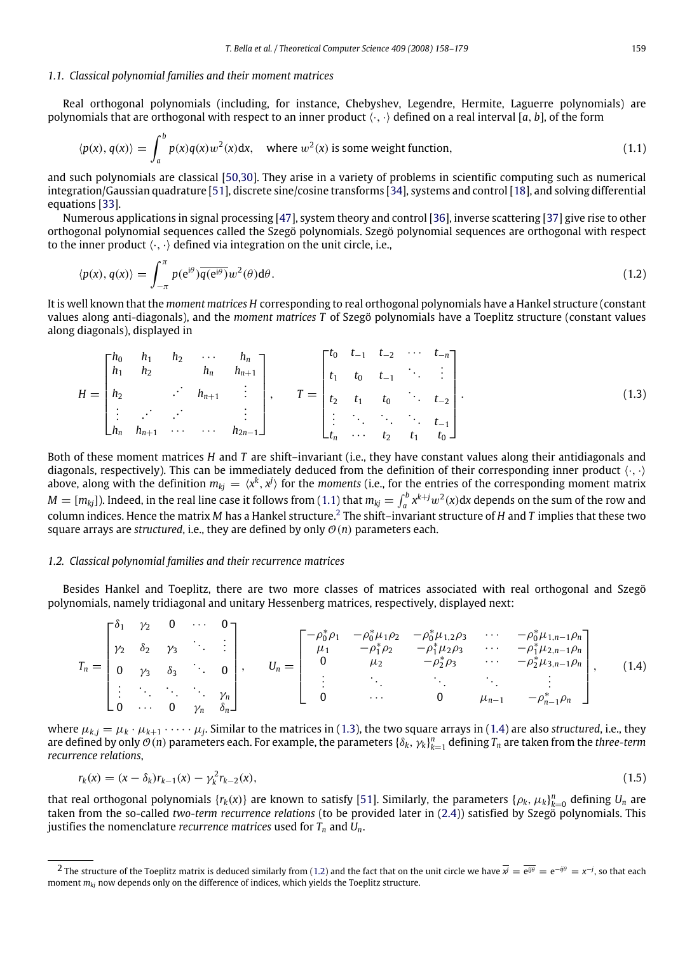#### <span id="page-2-0"></span>*1.1. Classical polynomial families and their moment matrices*

Real orthogonal polynomials (including, for instance, Chebyshev, Legendre, Hermite, Laguerre polynomials) are polynomials that are orthogonal with respect to an inner product  $\langle \cdot, \cdot \rangle$  defined on a real interval [a, b], of the form

<span id="page-2-1"></span>
$$
\langle p(x), q(x) \rangle = \int_a^b p(x)q(x)w^2(x)dx, \quad \text{where } w^2(x) \text{ is some weight function,}
$$
 (1.1)

and such polynomials are classical [\[50,](#page-22-8)[30\]](#page-22-9). They arise in a variety of problems in scientific computing such as numerical integration/Gaussian quadrature [\[51\]](#page-22-10), discrete sine/cosine transforms [\[34\]](#page-22-11), systems and control [\[18\]](#page-22-12), and solving differential equations [\[33\]](#page-22-13).

Numerous applications in signal processing [\[47\]](#page-22-14), system theory and control [\[36\]](#page-22-15), inverse scattering [\[37\]](#page-22-16) give rise to other orthogonal polynomial sequences called the Szegö polynomials. Szegö polynomial sequences are orthogonal with respect to the inner product  $\langle \cdot, \cdot \rangle$  defined via integration on the unit circle, i.e.,

<span id="page-2-5"></span>
$$
\langle p(x), q(x) \rangle = \int_{-\pi}^{\pi} p(e^{i\theta}) \overline{q(e^{i\theta})} w^2(\theta) d\theta.
$$
 (1.2)

It is well known that the *moment matrices H* corresponding to real orthogonal polynomials have a Hankel structure (constant values along anti-diagonals), and the *moment matrices T* of Szegö polynomials have a Toeplitz structure (constant values along diagonals), displayed in

<span id="page-2-3"></span>
$$
H = \begin{bmatrix} h_0 & h_1 & h_2 & \cdots & h_n \\ h_1 & h_2 & & h_n & h_{n+1} \\ h_2 & & \cdots & h_{n+1} & \vdots \\ \vdots & \cdots & \cdots & \vdots \\ h_n & h_{n+1} & \cdots & \cdots & h_{2n-1} \end{bmatrix}, \qquad T = \begin{bmatrix} t_0 & t_{-1} & t_{-2} & \cdots & t_{-n} \\ t_1 & t_0 & t_{-1} & \cdots & \vdots \\ t_2 & t_1 & t_0 & \cdots & t_{-2} \\ \vdots & \ddots & \ddots & \ddots & t_{-1} \\ t_n & \cdots & t_2 & t_1 & t_0 \end{bmatrix}.
$$
 (1.3)

Both of these moment matrices *H* and *T* are shift–invariant (i.e., they have constant values along their antidiagonals and diagonals, respectively). This can be immediately deduced from the definition of their corresponding inner product  $\langle \cdot, \cdot \rangle$ above, along with the definition  $m_{kj} = \langle x^k, x^j \rangle$  for the *moments* (i.e., for the entries of the corresponding moment matrix  $M = [m_{kj}]$ ). Indeed, in the real line case it follows from [\(1.1\)](#page-2-1) that  $m_{kj} = \int_a^b x^{k+j} w^2(x) dx$  depends on the sum of the row and column indices. Hence the matrix *M* has a Hankel structure.[2](#page-2-2) The shift–invariant structure of *H* and *T* implies that these two square arrays are *structured*, i.e., they are defined by only  $\mathcal{O}(n)$  parameters each.

#### <span id="page-2-7"></span>*1.2. Classical polynomial families and their recurrence matrices*

Besides Hankel and Toeplitz, there are two more classes of matrices associated with real orthogonal and Szegö polynomials, namely tridiagonal and unitary Hessenberg matrices, respectively, displayed next:

<span id="page-2-4"></span>
$$
T_n = \begin{bmatrix} \delta_1 & \gamma_2 & 0 & \cdots & 0 \\ \gamma_2 & \delta_2 & \gamma_3 & \ddots & \vdots \\ 0 & \gamma_3 & \delta_3 & \ddots & 0 \\ \vdots & \ddots & \ddots & \ddots & \gamma_n \\ 0 & \cdots & 0 & \gamma_n & \delta_n \end{bmatrix}, \qquad U_n = \begin{bmatrix} -\rho_0^* \rho_1 & -\rho_0^* \mu_1 \rho_2 & -\rho_0^* \mu_{1,2} \rho_3 & \cdots & -\rho_0^* \mu_{1,n-1} \rho_n \\ \mu_1 & -\rho_1^* \rho_2 & -\rho_1^* \mu_2 \rho_3 & \cdots & -\rho_1^* \mu_{2,n-1} \rho_n \\ 0 & \mu_2 & -\rho_2^* \rho_3 & \cdots & -\rho_2^* \mu_{3,n-1} \rho_n \\ \vdots & \ddots & \ddots & \vdots & \vdots \\ 0 & \cdots & 0 & \mu_{n-1} & -\rho_{n-1}^* \rho_n \end{bmatrix}, \qquad (1.4)
$$

where  $\mu_{kj} = \mu_k \cdot \mu_{k+1} \cdot \cdots \cdot \mu_j$ . Similar to the matrices in [\(1.3\)](#page-2-3), the two square arrays in [\(1.4\)](#page-2-4) are also *structured*, i.e., they are defined by only  $\mathcal{O}(n)$  parameters each. For example, the parameters  $\{\delta_k,\gamma_k\}_{k=1}^n$  defining  $T_n$  are taken from the *three-term recurrence relations*,

<span id="page-2-6"></span>
$$
r_k(x) = (x - \delta_k)r_{k-1}(x) - \gamma_k^2 r_{k-2}(x),
$$
\n(1.5)

that real orthogonal polynomials  $\{r_k(x)\}$  are known to satisfy [\[51\]](#page-22-10). Similarly, the parameters  $\{\rho_k, \mu_k\}_{k=0}^n$  defining  $U_n$  are taken from the so-called *two-term recurrence relations* (to be provided later in [\(2.4\)](#page-8-0)) satisfied by Szegö polynomials. This justifies the nomenclature *recurrence matrices* used for  $T_n$  and  $U_n$ .

<span id="page-2-2"></span> $^2$  The structure of the Toeplitz matrix is deduced similarly from [\(1.2\)](#page-2-5) and the fact that on the unit circle we have  $\overline{\vec{x}} = \overline{e^{i\theta}} = e^{-i\theta} = x^{-j}$ , so that each moment *mkj* now depends only on the difference of indices, which yields the Toeplitz structure.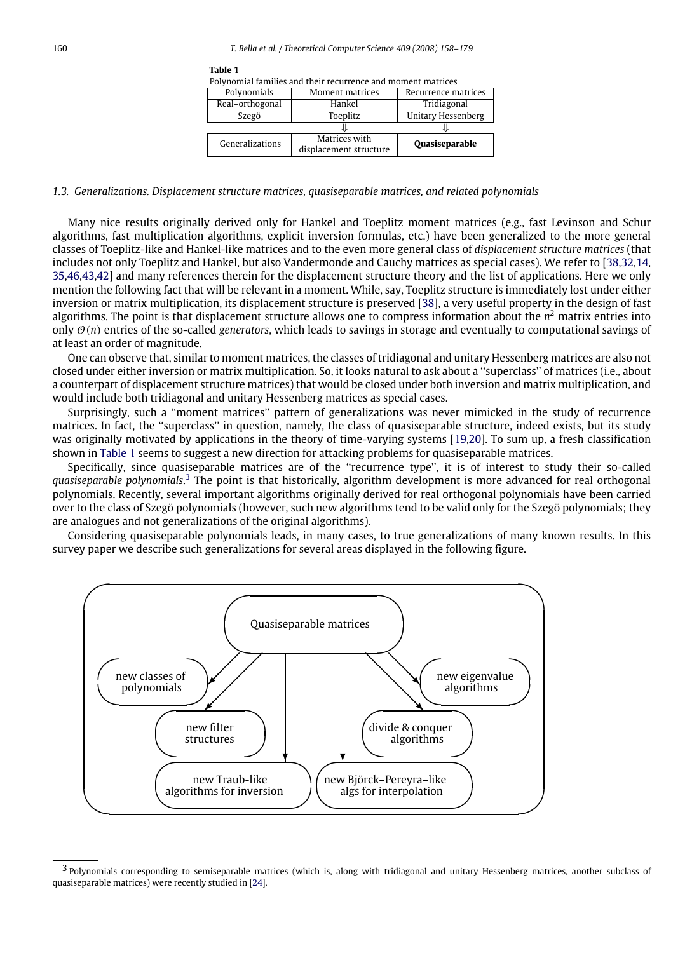<span id="page-3-1"></span>Polynomial families and their recurrence and moment matrices

|                 | , or, nominal millips and then recallence and moment matrices |                           |
|-----------------|---------------------------------------------------------------|---------------------------|
| Polynomials     | Moment matrices                                               | Recurrence matrices       |
| Real-orthogonal | Hankel                                                        | Tridiagonal               |
| Szegö           | Toeplitz                                                      | <b>Unitary Hessenberg</b> |
|                 |                                                               |                           |
| Generalizations | Matrices with                                                 | <b>Quasiseparable</b>     |
|                 | displacement structure                                        |                           |

#### <span id="page-3-0"></span>*1.3. Generalizations. Displacement structure matrices, quasiseparable matrices, and related polynomials*

Many nice results originally derived only for Hankel and Toeplitz moment matrices (e.g., fast Levinson and Schur algorithms, fast multiplication algorithms, explicit inversion formulas, etc.) have been generalized to the more general classes of Toeplitz-like and Hankel-like matrices and to the even more general class of *displacement structure matrices* (that includes not only Toeplitz and Hankel, but also Vandermonde and Cauchy matrices as special cases). We refer to [\[38](#page-22-17)[,32,](#page-22-18)[14,](#page-22-19) [35](#page-22-20)[,46,](#page-22-2)[43](#page-22-21)[,42\]](#page-22-22) and many references therein for the displacement structure theory and the list of applications. Here we only mention the following fact that will be relevant in a moment. While, say, Toeplitz structure is immediately lost under either inversion or matrix multiplication, its displacement structure is preserved [\[38\]](#page-22-17), a very useful property in the design of fast algorithms. The point is that displacement structure allows one to compress information about the *n* <sup>2</sup> matrix entries into only  $\mathcal{O}(n)$  entries of the so-called *generators*, which leads to savings in storage and eventually to computational savings of at least an order of magnitude.

One can observe that, similar to moment matrices, the classes of tridiagonal and unitary Hessenberg matrices are also not closed under either inversion or matrix multiplication. So, it looks natural to ask about a ''superclass'' of matrices (i.e., about a counterpart of displacement structure matrices) that would be closed under both inversion and matrix multiplication, and would include both tridiagonal and unitary Hessenberg matrices as special cases.

Surprisingly, such a ''moment matrices'' pattern of generalizations was never mimicked in the study of recurrence matrices. In fact, the ''superclass'' in question, namely, the class of quasiseparable structure, indeed exists, but its study was originally motivated by applications in the theory of time-varying systems [\[19](#page-22-3)[,20\]](#page-22-4). To sum up, a fresh classification shown in [Table](#page-3-1) [1](#page-3-1) seems to suggest a new direction for attacking problems for quasiseparable matrices.

Specifically, since quasiseparable matrices are of the ''recurrence type'', it is of interest to study their so-called *quasiseparable polynomials*. [3](#page-3-2) The point is that historically, algorithm development is more advanced for real orthogonal polynomials. Recently, several important algorithms originally derived for real orthogonal polynomials have been carried over to the class of Szegö polynomials (however, such new algorithms tend to be valid only for the Szegö polynomials; they are analogues and not generalizations of the original algorithms).

Considering quasiseparable polynomials leads, in many cases, to true generalizations of many known results. In this survey paper we describe such generalizations for several areas displayed in the following figure.



<span id="page-3-2"></span><sup>&</sup>lt;sup>3</sup> Polynomials corresponding to semiseparable matrices (which is, along with tridiagonal and unitary Hessenberg matrices, another subclass of quasiseparable matrices) were recently studied in [\[24\]](#page-22-23).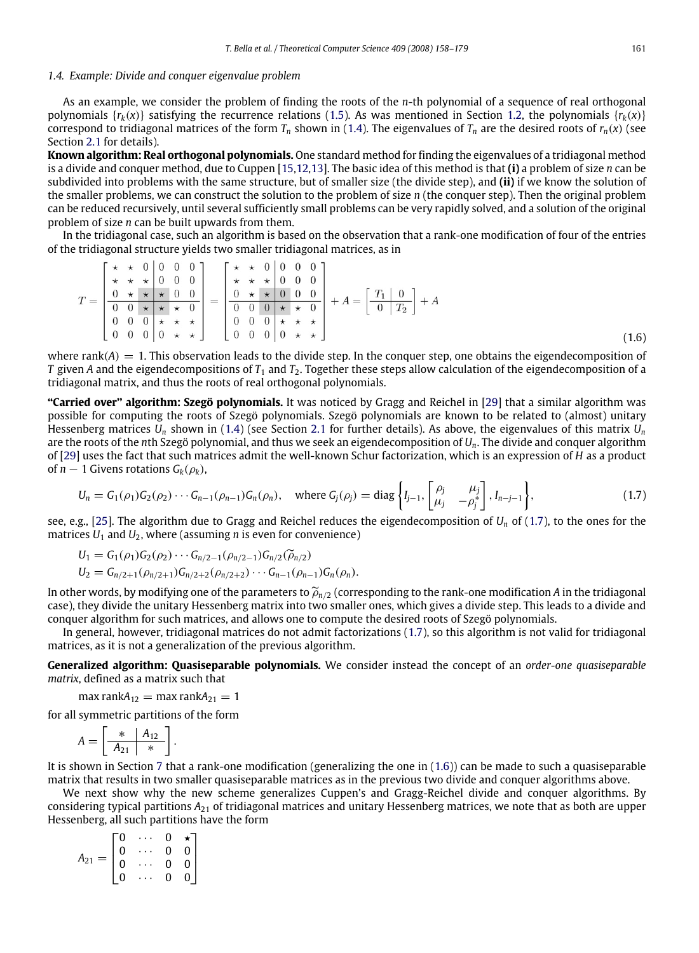#### *1.4. Example: Divide and conquer eigenvalue problem*

As an example, we consider the problem of finding the roots of the *n*-th polynomial of a sequence of real orthogonal polynomials  $\{r_k(x)\}$  satisfying the recurrence relations [\(1.5\)](#page-2-6). As was mentioned in Section [1.2,](#page-2-7) the polynomials  $\{r_k(x)\}$ correspond to tridiagonal matrices of the form  $T_n$  shown in [\(1.4\)](#page-2-4). The eigenvalues of  $T_n$  are the desired roots of  $r_n(x)$  (see Section [2.1](#page-5-0) for details).

**Known algorithm: Real orthogonal polynomials.** One standard method for finding the eigenvalues of a tridiagonal method is a divide and conquer method, due to Cuppen [\[15,](#page-22-24)[12](#page-22-25)[,13\]](#page-22-26). The basic idea of this method is that **(i)** a problem of size *n* can be subdivided into problems with the same structure, but of smaller size (the divide step), and **(ii)** if we know the solution of the smaller problems, we can construct the solution to the problem of size *n* (the conquer step). Then the original problem can be reduced recursively, until several sufficiently small problems can be very rapidly solved, and a solution of the original problem of size *n* can be built upwards from them.

In the tridiagonal case, such an algorithm is based on the observation that a rank-one modification of four of the entries of the tridiagonal structure yields two smaller tridiagonal matrices, as in

$$
T = \begin{bmatrix} \star & \star & 0 & 0 & 0 & 0 \\ \star & \star & \star & 0 & 0 & 0 \\ 0 & \star & \star & \star & 0 & 0 \\ 0 & 0 & \star & \star & \star & 0 \\ 0 & 0 & 0 & \star & \star & \star \\ 0 & 0 & 0 & 0 & \star & \star \end{bmatrix} = \begin{bmatrix} \star & \star & 0 & 0 & 0 & 0 \\ \star & \star & \star & 0 & 0 & 0 & 0 \\ 0 & \star & \star & 0 & 0 & 0 & 0 \\ 0 & 0 & 0 & \star & \star & 0 & 0 \\ 0 & 0 & 0 & \star & \star & \star \\ 0 & 0 & 0 & 0 & \star & \star \end{bmatrix} + A = \begin{bmatrix} T_1 & 0 \\ 0 & T_2 \end{bmatrix} + A
$$

where rank $(A) = 1$ . This observation leads to the divide step. In the conquer step, one obtains the eigendecomposition of *T* given *A* and the eigendecompositions of  $T_1$  and  $T_2$ . Together these steps allow calculation of the eigendecomposition of a tridiagonal matrix, and thus the roots of real orthogonal polynomials.

**''Carried over'' algorithm: Szegö polynomials.** It was noticed by Gragg and Reichel in [\[29\]](#page-22-27) that a similar algorithm was possible for computing the roots of Szegö polynomials. Szegö polynomials are known to be related to (almost) unitary Hessenberg matrices *U<sup>n</sup>* shown in [\(1.4\)](#page-2-4) (see Section [2.1](#page-5-0) for further details). As above, the eigenvalues of this matrix *U<sup>n</sup>* are the roots of the *n*th Szegö polynomial, and thus we seek an eigendecomposition of *Un*. The divide and conquer algorithm of [\[29\]](#page-22-27) uses the fact that such matrices admit the well-known Schur factorization, which is an expression of *H* as a product of  $n-1$  Givens rotations  $G_k(\rho_k)$ ,

<span id="page-4-0"></span>
$$
U_n = G_1(\rho_1)G_2(\rho_2)\cdots G_{n-1}(\rho_{n-1})G_n(\rho_n), \text{ where } G_j(\rho_j) = \text{diag}\left\{I_{j-1}, \begin{bmatrix} \rho_j & \mu_j \\ \mu_j & -\rho_j^* \end{bmatrix}, I_{n-j-1} \right\},
$$
(1.7)

see, e.g., [\[25\]](#page-22-28). The algorithm due to Gragg and Reichel reduces the eigendecomposition of  $U_n$  of [\(1.7\)](#page-4-0), to the ones for the matrices  $U_1$  and  $U_2$ , where (assuming *n* is even for convenience)

$$
U_1 = G_1(\rho_1)G_2(\rho_2) \cdots G_{n/2-1}(\rho_{n/2-1})G_{n/2}(\widetilde{\rho}_{n/2})
$$

$$
U_2 = G_{n/2+1}(\rho_{n/2+1})G_{n/2+2}(\rho_{n/2+2})\cdots G_{n-1}(\rho_{n-1})G_n(\rho_n).
$$

In other words, by modifying one of the parameters to  $\tilde{\rho}_{n/2}$  (corresponding to the rank-one modification *A* in the tridiagonal case), they divide the unitary Hessenberg matrix into two smaller ones, which gives a divide step. This leads to a divide and conquer algorithm for such matrices, and allows one to compute the desired roots of Szegö polynomials.

In general, however, tridiagonal matrices do not admit factorizations [\(1.7\)](#page-4-0), so this algorithm is not valid for tridiagonal matrices, as it is not a generalization of the previous algorithm.

**Generalized algorithm: Quasiseparable polynomials.** We consider instead the concept of an *order-one quasiseparable matrix*, defined as a matrix such that

 $\max$  rank $A_{12} = \max$  rank $A_{21} = 1$ 

for all symmetric partitions of the form

$$
A = \left[\begin{array}{c|c}\n* & A_{12} \\
\hline\nA_{21} & * \n\end{array}\right].
$$

It is shown in Section [7](#page-19-0) that a rank-one modification (generalizing the one in [\(1.6\)](#page-4-1)) can be made to such a quasiseparable matrix that results in two smaller quasiseparable matrices as in the previous two divide and conquer algorithms above.

We next show why the new scheme generalizes Cuppen's and Gragg-Reichel divide and conquer algorithms. By considering typical partitions *A*<sup>21</sup> of tridiagonal matrices and unitary Hessenberg matrices, we note that as both are upper Hessenberg, all such partitions have the form

|                 | Г0                                          |           | 0              |                                                  |  |
|-----------------|---------------------------------------------|-----------|----------------|--------------------------------------------------|--|
|                 | $\begin{bmatrix} 0 \\ 0 \\ 0 \end{bmatrix}$ | $\ddotsc$ | $\mathbf{0}$   |                                                  |  |
| $A_{21}$<br>$=$ |                                             |           | $\mathbf{0}$   | $\begin{bmatrix} 1 \\ 0 \\ 0 \\ 0 \end{bmatrix}$ |  |
|                 | $\overline{0}$                              |           | $\overline{0}$ |                                                  |  |

<span id="page-4-1"></span>(1.6)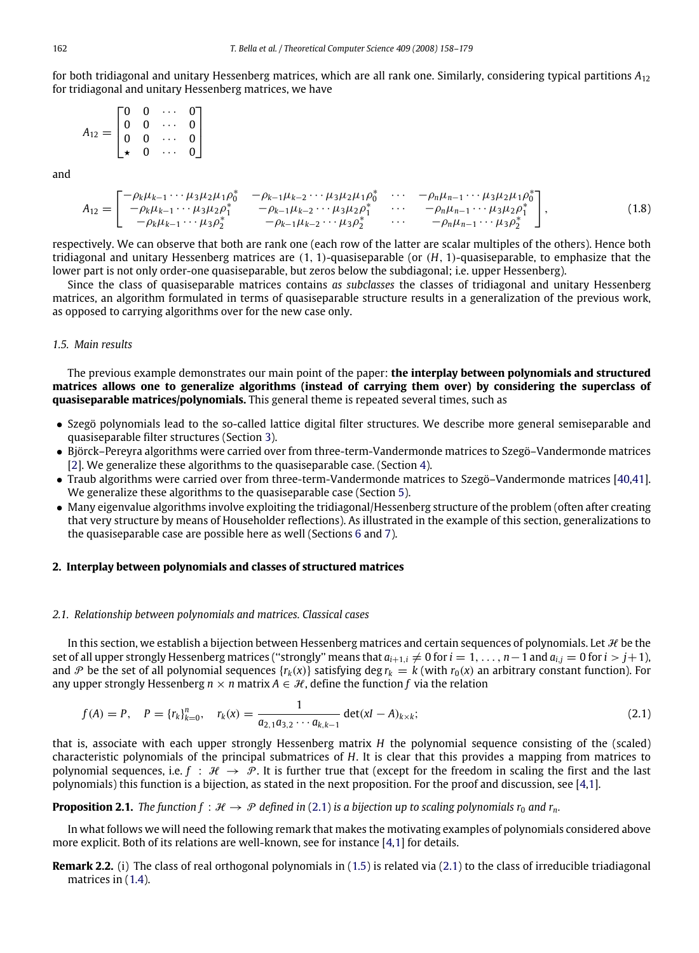for both tridiagonal and unitary Hessenberg matrices, which are all rank one. Similarly, considering typical partitions *A*<sup>12</sup> for tridiagonal and unitary Hessenberg matrices, we have

$$
A_{12} = \begin{bmatrix} 0 & 0 & \cdots & 0 \\ 0 & 0 & \cdots & 0 \\ 0 & 0 & \cdots & 0 \\ \star & 0 & \cdots & 0 \end{bmatrix}
$$

<span id="page-5-2"></span>and

$$
A_{12} = \begin{bmatrix} -\rho_k \mu_{k-1} \cdots \mu_3 \mu_2 \mu_1 \rho_0^* & -\rho_{k-1} \mu_{k-2} \cdots \mu_3 \mu_2 \mu_1 \rho_0^* & \cdots & -\rho_n \mu_{n-1} \cdots \mu_3 \mu_2 \mu_1 \rho_0^* \\ -\rho_k \mu_{k-1} \cdots \mu_3 \mu_2 \rho_1^* & -\rho_{k-1} \mu_{k-2} \cdots \mu_3 \mu_2 \rho_1^* & \cdots & -\rho_n \mu_{n-1} \cdots \mu_3 \mu_2 \rho_1^* \\ -\rho_k \mu_{k-1} \cdots \mu_3 \rho_2^* & -\rho_{k-1} \mu_{k-2} \cdots \mu_3 \rho_2^* & \cdots & -\rho_n \mu_{n-1} \cdots \mu_3 \rho_2^* \end{bmatrix},
$$
(1.8)

respectively. We can observe that both are rank one (each row of the latter are scalar multiples of the others). Hence both tridiagonal and unitary Hessenberg matrices are (1, 1)-quasiseparable (or (*H*, 1)-quasiseparable, to emphasize that the lower part is not only order-one quasiseparable, but zeros below the subdiagonal; i.e. upper Hessenberg).

Since the class of quasiseparable matrices contains *as subclasses* the classes of tridiagonal and unitary Hessenberg matrices, an algorithm formulated in terms of quasiseparable structure results in a generalization of the previous work, as opposed to carrying algorithms over for the new case only.

# *1.5. Main results*

The previous example demonstrates our main point of the paper: **the interplay between polynomials and structured matrices allows one to generalize algorithms (instead of carrying them over) by considering the superclass of quasiseparable matrices/polynomials.** This general theme is repeated several times, such as

- Szegö polynomials lead to the so-called lattice digital filter structures. We describe more general semiseparable and quasiseparable filter structures (Section [3\)](#page-12-0).
- Björck–Pereyra algorithms were carried over from three-term-Vandermonde matrices to Szegö–Vandermonde matrices [\[2\]](#page-21-1). We generalize these algorithms to the quasiseparable case. (Section [4\)](#page-13-0).
- Traub algorithms were carried over from three-term-Vandermonde matrices to Szegö–Vandermonde matrices [\[40,](#page-22-29)[41\]](#page-22-30). We generalize these algorithms to the quasiseparable case (Section [5\)](#page-14-0).
- Many eigenvalue algorithms involve exploiting the tridiagonal/Hessenberg structure of the problem (often after creating that very structure by means of Householder reflections). As illustrated in the example of this section, generalizations to the quasiseparable case are possible here as well (Sections [6](#page-16-0) and [7\)](#page-19-0).

### <span id="page-5-4"></span>**2. Interplay between polynomials and classes of structured matrices**

#### <span id="page-5-0"></span>*2.1. Relationship between polynomials and matrices. Classical cases*

In this section, we establish a bijection between Hessenberg matrices and certain sequences of polynomials. Let  $H$  be the set of all upper strongly Hessenberg matrices ("strongly" means that  $a_{i+1,i} \neq 0$  for  $i = 1, \ldots, n-1$  and  $a_{i,j} = 0$  for  $i > j+1$ ), and P be the set of all polynomial sequences  $\{r_k(x)\}$  satisfying deg  $r_k = k$  (with  $r_0(x)$  an arbitrary constant function). For any upper strongly Hessenberg  $n \times n$  matrix  $A \in \mathcal{H}$ , define the function f via the relation

<span id="page-5-1"></span>
$$
f(A) = P, \quad P = \{r_k\}_{k=0}^n, \quad r_k(x) = \frac{1}{a_{2,1}a_{3,2}\cdots a_{k,k-1}} \det(xI - A)_{k \times k};
$$
\n(2.1)

that is, associate with each upper strongly Hessenberg matrix *H* the polynomial sequence consisting of the (scaled) characteristic polynomials of the principal submatrices of *H*. It is clear that this provides a mapping from matrices to polynomial sequences, i.e.  $f : \mathcal{H} \to \mathcal{P}$ . It is further true that (except for the freedom in scaling the first and the last polynomials) this function is a bijection, as stated in the next proposition. For the proof and discussion, see [\[4](#page-21-2)[,1\]](#page-21-3).

**Proposition 2.1.** *The function f* :  $H \rightarrow \mathcal{P}$  *defined in* [\(2.1\)](#page-5-1) *is a bijection up to scaling polynomials r<sub>0</sub> <i>and r<sub>n</sub>*.

In what follows we will need the following remark that makes the motivating examples of polynomials considered above more explicit. Both of its relations are well-known, see for instance [\[4,](#page-21-2)[1\]](#page-21-3) for details.

<span id="page-5-3"></span>**Remark 2.2.** (i) The class of real orthogonal polynomials in [\(1.5\)](#page-2-6) is related via [\(2.1\)](#page-5-1) to the class of irreducible triadiagonal matrices in [\(1.4\)](#page-2-4).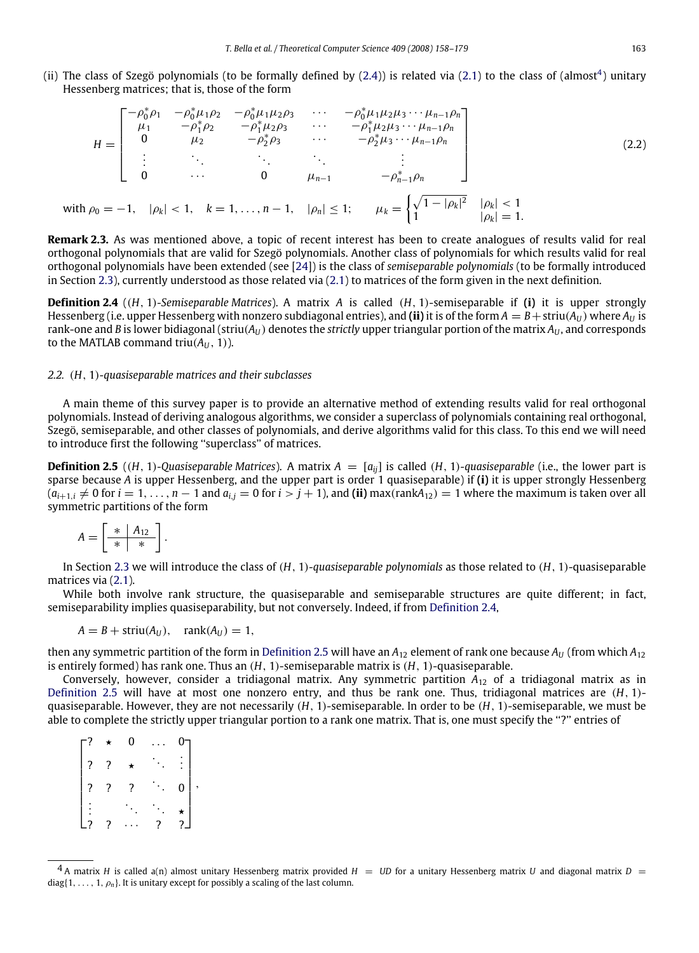(ii) The class of Szegö polynomials (to be formally defined by [\(2.4\)](#page-8-0)) is related via [\(2.1\)](#page-5-1) to the class of (almost<sup>[4](#page-6-0)</sup>) unitary Hessenberg matrices; that is, those of the form

<span id="page-6-3"></span>
$$
H = \begin{bmatrix} -\rho_0^* \rho_1 & -\rho_0^* \mu_1 \rho_2 & -\rho_0^* \mu_1 \mu_2 \rho_3 & \cdots & -\rho_0^* \mu_1 \mu_2 \mu_3 \cdots \mu_{n-1} \rho_n \\ \mu_1 & -\rho_1^* \rho_2 & -\rho_1^* \mu_2 \rho_3 & \cdots & -\rho_1^* \mu_2 \mu_3 \cdots \mu_{n-1} \rho_n \\ 0 & \mu_2 & -\rho_2^* \rho_3 & \cdots & -\rho_2^* \mu_3 \cdots \mu_{n-1} \rho_n \\ \vdots & \ddots & \ddots & \ddots & \vdots \\ 0 & \cdots & 0 & \mu_{n-1} & -\rho_{n-1}^* \rho_n \end{bmatrix}
$$
(2.2)  
with  $\rho_0 = -1$ ,  $|\rho_k| < 1$ ,  $k = 1, ..., n-1$ ,  $|\rho_n| \le 1$ ;  $\mu_k = \begin{cases} \sqrt{1 - |\rho_k|^2} & |\rho_k| < 1 \\ 1 & |\rho_k| = 1 \end{cases}$ 

**Remark 2.3.** As was mentioned above, a topic of recent interest has been to create analogues of results valid for real orthogonal polynomials that are valid for Szegö polynomials. Another class of polynomials for which results valid for real orthogonal polynomials have been extended (see [\[24\]](#page-22-23)) is the class of *semiseparable polynomials* (to be formally introduced in Section [2.3\)](#page-8-1), currently understood as those related via [\(2.1\)](#page-5-1) to matrices of the form given in the next definition.

<span id="page-6-1"></span>**Definition 2.4** ((*H*, 1)*-Semiseparable Matrices*). A matrix *A* is called (*H*, 1)-semiseparable if **(i)** it is upper strongly Hessenberg (i.e. upper Hessenberg with nonzero subdiagonal entries), and (ii) it is of the form  $A = B + \text{striu}(A_U)$  where  $A_U$  is rank-one and *B* is lower bidiagonal (striu( $A_U$ ) denotes the *strictly* upper triangular portion of the matrix  $A_U$ , and corresponds to the MATLAB command triu( $A_{U}$ , 1)).

# <span id="page-6-4"></span>*2.2.* (*H*, 1)*-quasiseparable matrices and their subclasses*

A main theme of this survey paper is to provide an alternative method of extending results valid for real orthogonal polynomials. Instead of deriving analogous algorithms, we consider a superclass of polynomials containing real orthogonal, Szegö, semiseparable, and other classes of polynomials, and derive algorithms valid for this class. To this end we will need to introduce first the following ''superclass'' of matrices.

<span id="page-6-2"></span>**Definition 2.5** ((*H*, 1)*-Quasiseparable Matrices*). A matrix  $A = [a_{ij}]$  is called (*H*, 1)*-quasiseparable* (i.e., the lower part is sparse because *A* is upper Hessenberg, and the upper part is order 1 quasiseparable) if **(i)** it is upper strongly Hessenberg  $(a_{i+1,i} \neq 0$  for  $i = 1, \ldots, n-1$  and  $a_{i,j} = 0$  for  $i > j+1$ ), and (ii) max(rank $A_{12}$ )  $= 1$  where the maximum is taken over all symmetric partitions of the form

$$
A = \left[ \begin{array}{c|c} * & A_{12} \\ \hline * & * \end{array} \right].
$$

In Section [2.3](#page-8-1) we will introduce the class of (*H*, 1)*-quasiseparable polynomials* as those related to (*H*, 1)-quasiseparable matrices via [\(2.1\)](#page-5-1).

While both involve rank structure, the quasiseparable and semiseparable structures are quite different; in fact, semiseparability implies quasiseparability, but not conversely. Indeed, if from [Definition](#page-6-1) [2.4,](#page-6-1)

$$
A = B + \text{striu}(A_U), \quad \text{rank}(A_U) = 1,
$$

then any symmetric partition of the form in [Definition](#page-6-2) [2.5](#page-6-2) will have an  $A_{12}$  element of rank one because  $A_{IJ}$  (from which  $A_{12}$ ) is entirely formed) has rank one. Thus an (*H*, 1)-semiseparable matrix is (*H*, 1)-quasiseparable.

Conversely, however, consider a tridiagonal matrix. Any symmetric partition *A*<sup>12</sup> of a tridiagonal matrix as in [Definition](#page-6-2) [2.5](#page-6-2) will have at most one nonzero entry, and thus be rank one. Thus, tridiagonal matrices are (*H*, 1) quasiseparable. However, they are not necessarily (*H*, 1)-semiseparable. In order to be (*H*, 1)-semiseparable, we must be able to complete the strictly upper triangular portion to a rank one matrix. That is, one must specify the ''?'' entries of

|                          | 0 |   |                   |   |
|--------------------------|---|---|-------------------|---|
| $\overline{\mathcal{E}}$ |   |   | $\ddot{\cdot}$    |   |
|                          |   |   | $\bf{0}$          | , |
|                          |   |   |                   |   |
| $\frac{1}{2}$            |   | 2 | $\frac{\star}{2}$ |   |

<span id="page-6-0"></span> $^4$ A matrix *H* is called a(n) almost unitary Hessenberg matrix provided *H* = *UD* for a unitary Hessenberg matrix *U* and diagonal matrix *D* =  $diag\{1,\ldots,1,\rho_n\}$ . It is unitary except for possibly a scaling of the last column.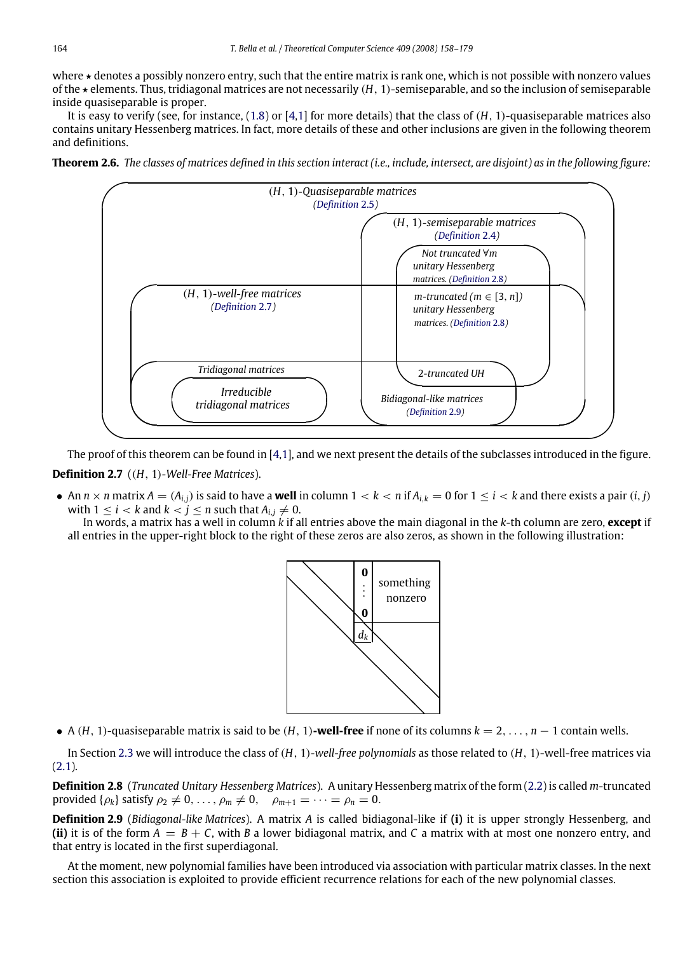where  $\star$  denotes a possibly nonzero entry, such that the entire matrix is rank one, which is not possible with nonzero values of the ? elements. Thus, tridiagonal matrices are not necessarily (*H*, 1)-semiseparable, and so the inclusion of semiseparable inside quasiseparable is proper.

It is easy to verify (see, for instance, [\(1.8\)](#page-5-2) or [\[4,](#page-21-2)[1\]](#page-21-3) for more details) that the class of (*H*, 1)-quasiseparable matrices also contains unitary Hessenberg matrices. In fact, more details of these and other inclusions are given in the following theorem and definitions.

<span id="page-7-3"></span>



<span id="page-7-0"></span>The proof of this theorem can be found in [\[4](#page-21-2)[,1\]](#page-21-3), and we next present the details of the subclasses introduced in the figure. **Definition 2.7** ((*H*, 1)*-Well-Free Matrices*).

• An  $n \times n$  matrix  $A = (A_{i,j})$  is said to have a **well** in column  $1 < k < n$  if  $A_{i,k} = 0$  for  $1 \le i < k$  and there exists a pair  $(i, j)$ with  $1 \leq i < k$  and  $k < j \leq n$  such that  $A_{i,j} \neq 0$ .

In words, a matrix has a well in column *k* if all entries above the main diagonal in the *k*-th column are zero, **except** if all entries in the upper-right block to the right of these zeros are also zeros, as shown in the following illustration:



• A (*H*, 1)-quasiseparable matrix is said to be (*H*, 1)**-well-free** if none of its columns *k* = 2, . . . , *n* − 1 contain wells.

In Section [2.3](#page-8-1) we will introduce the class of (*H*, 1)*-well-free polynomials* as those related to (*H*, 1)-well-free matrices via [\(2.1\)](#page-5-1).

<span id="page-7-2"></span>**Definition 2.8** (*Truncated Unitary Hessenberg Matrices*). A unitary Hessenberg matrix of the form [\(2.2\)](#page-6-3) is called *m*-truncated provided  $\{\rho_k\}$  satisfy  $\rho_2 \neq 0, \ldots, \rho_m \neq 0, \quad \rho_{m+1} = \cdots = \rho_n = 0.$ 

<span id="page-7-1"></span>**Definition 2.9** (*Bidiagonal-like Matrices*). A matrix *A* is called bidiagonal-like if **(i)** it is upper strongly Hessenberg, and **(ii)** it is of the form *A* = *B* + *C*, with *B* a lower bidiagonal matrix, and *C* a matrix with at most one nonzero entry, and that entry is located in the first superdiagonal.

At the moment, new polynomial families have been introduced via association with particular matrix classes. In the next section this association is exploited to provide efficient recurrence relations for each of the new polynomial classes.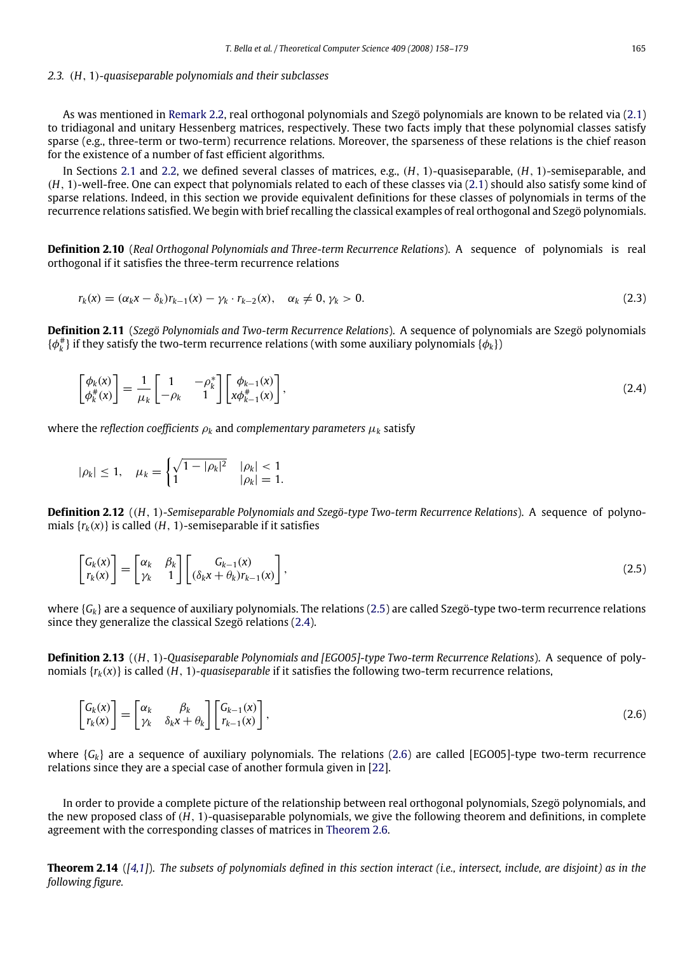#### <span id="page-8-1"></span>*2.3.* (*H*, 1)*-quasiseparable polynomials and their subclasses*

As was mentioned in [Remark](#page-5-3) [2.2,](#page-5-3) real orthogonal polynomials and Szegö polynomials are known to be related via [\(2.1\)](#page-5-1) to tridiagonal and unitary Hessenberg matrices, respectively. These two facts imply that these polynomial classes satisfy sparse (e.g., three-term or two-term) recurrence relations. Moreover, the sparseness of these relations is the chief reason for the existence of a number of fast efficient algorithms.

In Sections [2.1](#page-5-0) and [2.2,](#page-6-4) we defined several classes of matrices, e.g., (*H*, 1)-quasiseparable, (*H*, 1)-semiseparable, and (*H*, 1)-well-free. One can expect that polynomials related to each of these classes via [\(2.1\)](#page-5-1) should also satisfy some kind of sparse relations. Indeed, in this section we provide equivalent definitions for these classes of polynomials in terms of the recurrence relations satisfied. We begin with brief recalling the classical examples of real orthogonal and Szegö polynomials.

**Definition 2.10** (*Real Orthogonal Polynomials and Three-term Recurrence Relations*). A sequence of polynomials is real orthogonal if it satisfies the three-term recurrence relations

<span id="page-8-4"></span><span id="page-8-0"></span>
$$
r_k(x) = (\alpha_k x - \delta_k) r_{k-1}(x) - \gamma_k \cdot r_{k-2}(x), \quad \alpha_k \neq 0, \gamma_k > 0.
$$
\n
$$
(2.3)
$$

**Definition 2.11** (*Szegö Polynomials and Two-term Recurrence Relations*). A sequence of polynomials are Szegö polynomials  $\{\phi_k^{\#}\}\$  if they satisfy the two-term recurrence relations (with some auxiliary polynomials  $\{\phi_k\}\$ )

$$
\begin{bmatrix} \phi_k(x) \\ \phi_k^*(x) \end{bmatrix} = \frac{1}{\mu_k} \begin{bmatrix} 1 & -\rho_k^* \\ -\rho_k & 1 \end{bmatrix} \begin{bmatrix} \phi_{k-1}(x) \\ x\phi_{k-1}^*(x) \end{bmatrix},\tag{2.4}
$$

where the *reflection coefficients*  $\rho_k$  and *complementary parameters*  $\mu_k$  satisfy

$$
|\rho_k| \le 1, \quad \mu_k = \begin{cases} \sqrt{1 - |\rho_k|^2} & |\rho_k| < 1\\ 1 & |\rho_k| = 1. \end{cases}
$$

**Definition 2.12** ((*H*, 1)*-Semiseparable Polynomials and Szegö-type Two-term Recurrence Relations*). A sequence of polynomials  $\{r_k(x)\}\$ is called (*H*, 1)-semiseparable if it satisfies

<span id="page-8-2"></span>
$$
\begin{bmatrix} G_k(x) \\ r_k(x) \end{bmatrix} = \begin{bmatrix} \alpha_k & \beta_k \\ \gamma_k & 1 \end{bmatrix} \begin{bmatrix} G_{k-1}(x) \\ (\delta_k x + \theta_k) r_{k-1}(x) \end{bmatrix},
$$
\n(2.5)

where {*Gk*} are a sequence of auxiliary polynomials. The relations [\(2.5\)](#page-8-2) are called Szegö-type two-term recurrence relations since they generalize the classical Szegö relations [\(2.4\)](#page-8-0).

<span id="page-8-6"></span>**Definition 2.13** ((*H*, 1)*-Quasiseparable Polynomials and [EGO05]-type Two-term Recurrence Relations*). A sequence of polynomials  $\{r_k(x)\}$  is called (*H*, 1)*-quasiseparable* if it satisfies the following two-term recurrence relations,

<span id="page-8-3"></span>
$$
\begin{bmatrix} G_k(x) \\ r_k(x) \end{bmatrix} = \begin{bmatrix} \alpha_k & \beta_k \\ \gamma_k & \delta_k x + \theta_k \end{bmatrix} \begin{bmatrix} G_{k-1}(x) \\ r_{k-1}(x) \end{bmatrix},
$$
\n(2.6)

where {*Gk*} are a sequence of auxiliary polynomials. The relations [\(2.6\)](#page-8-3) are called [EGO05]-type two-term recurrence relations since they are a special case of another formula given in [\[22\]](#page-22-31).

In order to provide a complete picture of the relationship between real orthogonal polynomials, Szegö polynomials, and the new proposed class of (*H*, 1)-quasiseparable polynomials, we give the following theorem and definitions, in complete agreement with the corresponding classes of matrices in [Theorem](#page-7-3) [2.6.](#page-7-3)

<span id="page-8-5"></span>**Theorem 2.14** (*[\[4](#page-21-2)[,1\]](#page-21-3)*). *The subsets of polynomials defined in this section interact (i.e., intersect, include, are disjoint) as in the following figure.*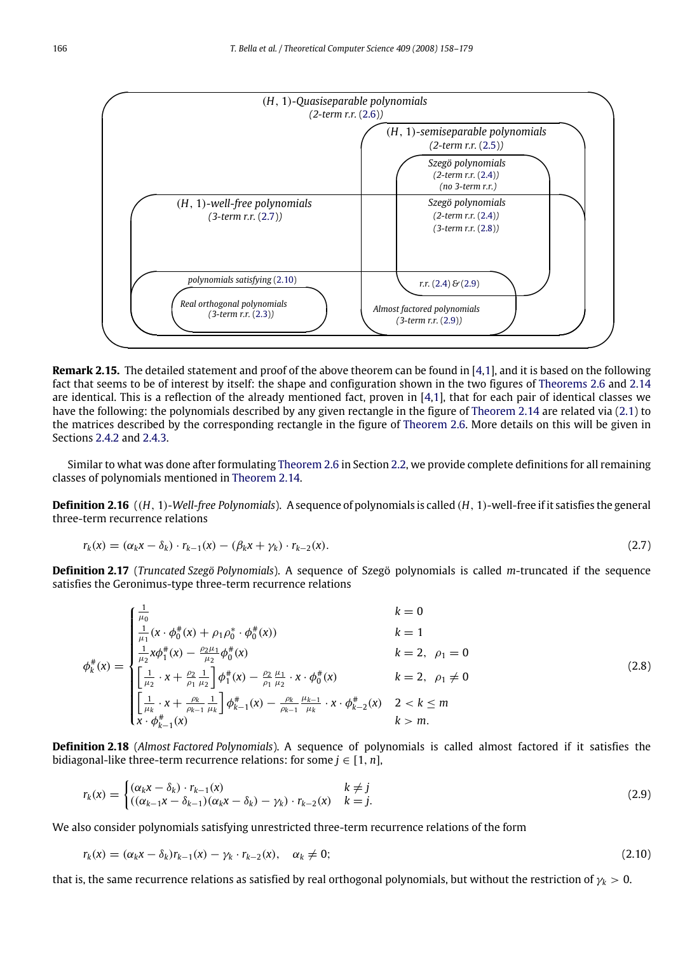

**Remark 2.15.** The detailed statement and proof of the above theorem can be found in [\[4,](#page-21-2)[1\]](#page-21-3), and it is based on the following fact that seems to be of interest by itself: the shape and configuration shown in the two figures of [Theorems](#page-7-3) [2.6](#page-7-3) and [2.14](#page-8-5) are identical. This is a reflection of the already mentioned fact, proven in [\[4,](#page-21-2)[1\]](#page-21-3), that for each pair of identical classes we have the following: the polynomials described by any given rectangle in the figure of [Theorem](#page-8-5) [2.14](#page-8-5) are related via [\(2.1\)](#page-5-1) to the matrices described by the corresponding rectangle in the figure of [Theorem](#page-7-3) [2.6.](#page-7-3) More details on this will be given in Sections [2.4.2](#page-10-0) and [2.4.3.](#page-11-0)

Similar to what was done after formulating [Theorem](#page-7-3) [2.6](#page-7-3) in Section [2.2,](#page-6-4) we provide complete definitions for all remaining classes of polynomials mentioned in [Theorem](#page-8-5) [2.14.](#page-8-5)

**Definition 2.16** ((*H*, 1)*-Well-free Polynomials*). A sequence of polynomials is called (*H*, 1)-well-free if it satisfies the general three-term recurrence relations

<span id="page-9-3"></span><span id="page-9-0"></span>
$$
r_k(x) = (\alpha_k x - \delta_k) \cdot r_{k-1}(x) - (\beta_k x + \gamma_k) \cdot r_{k-2}(x). \tag{2.7}
$$

**Definition 2.17** (*Truncated Szegö Polynomials*). A sequence of Szegö polynomials is called *m*-truncated if the sequence satisfies the Geronimus-type three-term recurrence relations

$$
\phi_k^{\#}(x) = \begin{cases}\n\frac{1}{\mu_0} & k = 0 \\
\frac{1}{\mu_1}(x \cdot \phi_0^{\#}(x) + \rho_1 \rho_0^{\ast} \cdot \phi_0^{\#}(x)) & k = 1 \\
\frac{1}{\mu_2}x\phi_1^{\#}(x) - \frac{\rho_2\mu_1}{\mu_2}\phi_0^{\#}(x) & k = 2, \ \rho_1 = 0 \\
\left[\frac{1}{\mu_2} \cdot x + \frac{\rho_2}{\rho_1} \frac{1}{\mu_2}\right] \phi_1^{\#}(x) - \frac{\rho_2}{\rho_1} \frac{\mu_1}{\mu_2} \cdot x \cdot \phi_0^{\#}(x) & k = 2, \ \rho_1 \neq 0 \\
\left[\frac{1}{\mu_k} \cdot x + \frac{\rho_k}{\rho_{k-1}} \frac{1}{\mu_k}\right] \phi_{k-1}^{\#}(x) - \frac{\rho_k}{\rho_{k-1}} \frac{\mu_{k-1}}{\mu_k} \cdot x \cdot \phi_{k-2}^{\#}(x) & 2 < k \leq m \\
x \cdot \phi_{k-1}^{\#}(x) & k > m.\n\end{cases} \tag{2.8}
$$

**Definition 2.18** (*Almost Factored Polynomials*). A sequence of polynomials is called almost factored if it satisfies the bidiagonal-like three-term recurrence relations: for some  $j \in [1, n]$ ,

<span id="page-9-1"></span>
$$
r_k(x) = \begin{cases} (\alpha_k x - \delta_k) \cdot r_{k-1}(x) & k \neq j \\ ((\alpha_{k-1} x - \delta_{k-1})(\alpha_k x - \delta_k) - \gamma_k) \cdot r_{k-2}(x) & k = j. \end{cases}
$$
(2.9)

We also consider polynomials satisfying unrestricted three-term recurrence relations of the form

<span id="page-9-2"></span>
$$
r_k(x) = (\alpha_k x - \delta_k) r_{k-1}(x) - \gamma_k \cdot r_{k-2}(x), \quad \alpha_k \neq 0;
$$
\n(2.10)

that is, the same recurrence relations as satisfied by real orthogonal polynomials, but without the restriction of  $\gamma_k > 0$ .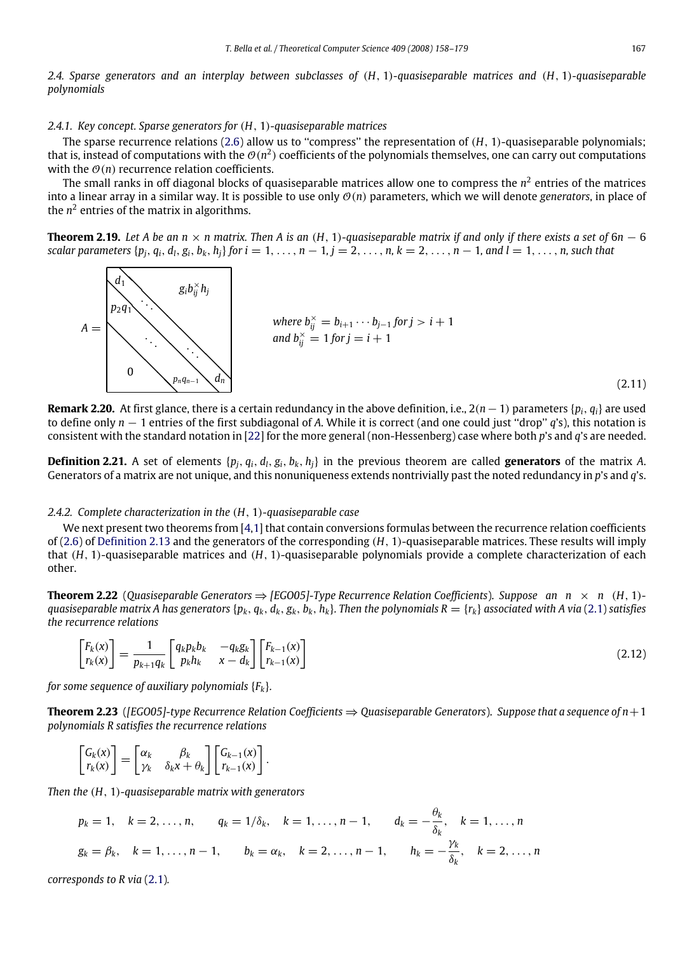*2.4. Sparse generators and an interplay between subclasses of* (*H*, 1)*-quasiseparable matrices and* (*H*, 1)*-quasiseparable polynomials*

# *2.4.1. Key concept. Sparse generators for* (*H*, 1)*-quasiseparable matrices*

The sparse recurrence relations  $(2.6)$  allow us to "compress" the representation of  $(H, 1)$ -quasiseparable polynomials; that is, instead of computations with the  $\mathcal{O}(n^2)$  coefficients of the polynomials themselves, one can carry out computations with the  $\mathcal{O}(n)$  recurrence relation coefficients.

The small ranks in off diagonal blocks of quasiseparable matrices allow one to compress the  $n^2$  entries of the matrices into a linear array in a similar way. It is possible to use only  $\mathcal{O}(n)$  parameters, which we will denote *generators*, in place of the  $n^2$  entries of the matrix in algorithms.

<span id="page-10-3"></span>**Theorem 2.19.** Let A be an  $n \times n$  matrix. Then A is an  $(H, 1)$ -quasiseparable matrix if and only if there exists a set of 6*n* − 6 scalar parameters  $\{p_i, q_i, d_i, g_i, b_k, h_i\}$  for  $i = 1, ..., n - 1, j = 2, ..., n, k = 2, ..., n - 1, and l = 1, ..., n$ , such that

<span id="page-10-1"></span>

**Remark 2.20.** At first glance, there is a certain redundancy in the above definition, i.e., 2(*n*−1) parameters {*pi*, *qi*} are used to define only *n* − 1 entries of the first subdiagonal of *A*. While it is correct (and one could just ''drop'' *q*'s), this notation is consistent with the standard notation in [\[22\]](#page-22-31) for the more general (non-Hessenberg) case where both *p*'s and *q*'s are needed.

**Definition 2.21.** A set of elements  $\{p_i, q_i, d_l, g_i, b_k, h_i\}$  in the previous theorem are called **generators** of the matrix A. Generators of a matrix are not unique, and this nonuniqueness extends nontrivially past the noted redundancy in *p*'s and *q*'s.

# <span id="page-10-0"></span>*2.4.2. Complete characterization in the* (*H*, 1)*-quasiseparable case*

We next present two theorems from [\[4](#page-21-2)[,1\]](#page-21-3) that contain conversions formulas between the recurrence relation coefficients of [\(2.6\)](#page-8-3) of [Definition](#page-8-6) [2.13](#page-8-6) and the generators of the corresponding (*H*, 1)-quasiseparable matrices. These results will imply that (*H*, 1)-quasiseparable matrices and (*H*, 1)-quasiseparable polynomials provide a complete characterization of each other.

**Theorem 2.22** (*Quasiseparable Generators*  $\Rightarrow$  [*EGO05*]-*Type Recurrence Relation Coefficients*). *Suppose an n* × *n* (*H*, 1)quasiseparable matrix A has generators { $p_k$ ,  $q_k$ ,  $d_k$ ,  $g_k$ ,  $b_k$ ,  $h_k$ }. Then the polynomials  $R = {r_k}$  associated with A via [\(2.1\)](#page-5-1) satisfies *the recurrence relations*

<span id="page-10-2"></span>
$$
\begin{bmatrix} F_k(x) \\ r_k(x) \end{bmatrix} = \frac{1}{p_{k+1}q_k} \begin{bmatrix} q_k p_k b_k & -q_k g_k \\ p_k h_k & x - d_k \end{bmatrix} \begin{bmatrix} F_{k-1}(x) \\ r_{k-1}(x) \end{bmatrix}
$$
\n(2.12)

*for some sequence of auxiliary polynomials* {*Fk*}*.*

**Theorem 2.23** (*[EGO05]-type Recurrence Relation Coefficients* ⇒ *Quasiseparable Generators*). *Suppose that a sequence of n*+1 *polynomials R satisfies the recurrence relations*

$$
\begin{bmatrix} G_k(x) \\ r_k(x) \end{bmatrix} = \begin{bmatrix} \alpha_k & \beta_k \\ \gamma_k & \delta_k x + \theta_k \end{bmatrix} \begin{bmatrix} G_{k-1}(x) \\ r_{k-1}(x) \end{bmatrix}.
$$

*Then the* (*H*, 1)*-quasiseparable matrix with generators*

$$
p_k = 1, \quad k = 2, ..., n, \qquad q_k = 1/\delta_k, \quad k = 1, ..., n-1, \qquad d_k = -\frac{\theta_k}{\delta_k}, \quad k = 1, ..., n
$$
  
 $g_k = \beta_k, \quad k = 1, ..., n-1, \qquad b_k = \alpha_k, \quad k = 2, ..., n-1, \qquad h_k = -\frac{\gamma_k}{\delta_k}, \quad k = 2, ..., n$ 

*corresponds to R via* [\(2.1\)](#page-5-1)*.*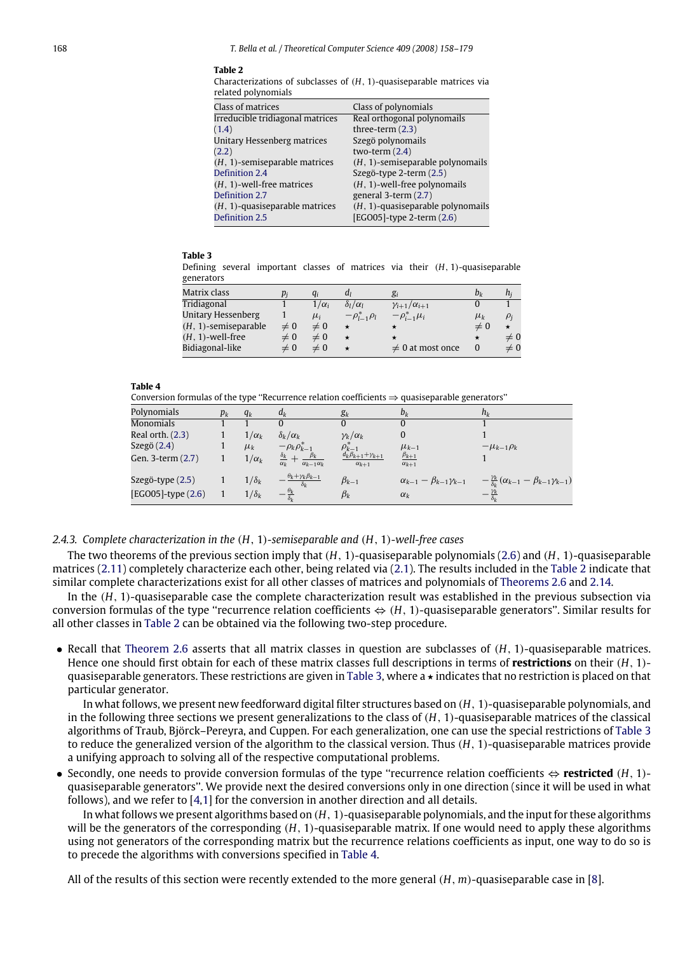#### **Table 2**

<span id="page-11-1"></span>

|                     | Characterizations of subclasses of $(H, 1)$ -quasiseparable matrices via |
|---------------------|--------------------------------------------------------------------------|
| related polynomials |                                                                          |

| Class of matrices                                   | Class of polynomials                                              |
|-----------------------------------------------------|-------------------------------------------------------------------|
| Irreducible tridiagonal matrices                    | Real orthogonal polynomails                                       |
| (1.4)                                               | three-term $(2.3)$                                                |
| Unitary Hessenberg matrices                         | Szegö polynomails                                                 |
| (2.2)                                               | two-term $(2.4)$                                                  |
| $(H, 1)$ -semiseparable matrices                    | $(H, 1)$ -semiseparable polynomails                               |
| Definition 2.4                                      | Szegö-type 2-term (2.5)                                           |
| $(H, 1)$ -well-free matrices                        | $(H, 1)$ -well-free polynomails                                   |
| Definition 2.7                                      | general 3-term (2.7)                                              |
| $(H, 1)$ -quasiseparable matrices<br>Definition 2.5 | $(H, 1)$ -quasiseparable polynomails<br>[EGO05]-type 2-term (2.6) |

#### **Table 3**

<span id="page-11-2"></span>Defining several important classes of matrices via their (*H*, 1)-quasiseparable generators

| Matrix class            |          | q,           | aι                     | $g_i$                       | bι       | h;       |
|-------------------------|----------|--------------|------------------------|-----------------------------|----------|----------|
| Tridiagonal             |          | $1/\alpha_i$ | $\delta_l/\alpha_l$    | $\gamma_{i+1}/\alpha_{i+1}$ |          |          |
| Unitary Hessenberg      |          | $\mu_i$      | $-\rho_{l-1}^* \rho_l$ | $-\rho_{i-1}^* \mu_i$       | $\mu_k$  | $\rho_i$ |
| $(H, 1)$ -semiseparable | $\neq 0$ | $\neq 0$     | *                      | $\star$                     | $\neq 0$ |          |
| $(H, 1)$ -well-free     | $\neq 0$ | $\neq 0$     | $\star$                | $\star$                     |          | $\neq 0$ |
| Bidiagonal-like         | $\neq 0$ | $\neq 0$     | $\star$                | $\neq 0$ at most once       |          | $\neq 0$ |

#### **Table 4**

<span id="page-11-3"></span>Conversion formulas of the type "Recurrence relation coefficients  $\Rightarrow$  quasiseparable generators"

| Polynomials        | $p_k$ | $q_k$        | $d_k$                                                                          | $g_k$                                                           | $b_k$                                     | $h_k$                                                              |
|--------------------|-------|--------------|--------------------------------------------------------------------------------|-----------------------------------------------------------------|-------------------------------------------|--------------------------------------------------------------------|
| <b>Monomials</b>   |       |              |                                                                                |                                                                 | 0                                         |                                                                    |
| Real orth. (2.3)   |       | $1/\alpha_k$ | $\delta_k/\alpha_k$                                                            | $\gamma_k/\alpha_k$                                             | 0                                         |                                                                    |
| Szegö (2.4)        |       | $\mu_k$      | $-\rho_k \rho_{k-1}^*$                                                         | $\rho^*_{k-1}$<br>d <sub>k</sub> $\beta_{k+1}$ + $\gamma_{k+1}$ | $\mu_{k-1}$                               | $-\mu_{k-1}\rho_k$                                                 |
| Gen. 3-term (2.7)  |       | $1/\alpha_k$ | $\beta_k$<br>$\frac{\delta_k}{\epsilon}$<br>$\alpha_{k-1}\alpha_k$<br>$\alpha$ | $\alpha_{k+1}$                                                  | $\beta_{k+1}$<br>$\alpha_{k+1}$           |                                                                    |
| Szegö-type (2.5)   |       | $1/\delta_k$ | $\theta_k + \gamma_k \beta_{k-1}$<br>$\delta_{\nu}$                            | $\beta_{k-1}$                                                   | $\alpha_{k-1} - \beta_{k-1} \gamma_{k-1}$ | $-\frac{\gamma_k}{\delta_k}(\alpha_{k-1}-\beta_{k-1}\gamma_{k-1})$ |
| [EGO05]-type (2.6) |       | $1/\delta_k$ | $-\frac{\theta_k}{\delta_k}$                                                   | $\beta_k$                                                       | $\alpha_k$                                | $-\frac{\gamma_k}{\delta_k}$                                       |

### <span id="page-11-0"></span>*2.4.3. Complete characterization in the* (*H*, 1)*-semiseparable and* (*H*, 1)*-well-free cases*

The two theorems of the previous section imply that (*H*, 1)-quasiseparable polynomials [\(2.6\)](#page-8-3) and (*H*, 1)-quasiseparable matrices [\(2.11\)](#page-10-1) completely characterize each other, being related via [\(2.1\)](#page-5-1). The results included in the [Table](#page-11-1) [2](#page-11-1) indicate that similar complete characterizations exist for all other classes of matrices and polynomials of [Theorems](#page-7-3) [2.6](#page-7-3) and [2.14.](#page-8-5)

In the (*H*, 1)-quasiseparable case the complete characterization result was established in the previous subsection via conversion formulas of the type ''recurrence relation coefficients ⇔ (*H*, 1)-quasiseparable generators''. Similar results for all other classes in [Table](#page-11-1) [2](#page-11-1) can be obtained via the following two-step procedure.

• Recall that [Theorem](#page-7-3) [2.6](#page-7-3) asserts that all matrix classes in question are subclasses of (*H*, 1)-quasiseparable matrices. Hence one should first obtain for each of these matrix classes full descriptions in terms of **restrictions** on their (*H*, 1)- quasiseparable generators. These restrictions are given in [Table](#page-11-2) [3,](#page-11-2) where  $a \star$  indicates that no restriction is placed on that particular generator.

In what follows, we present new feedforward digital filter structures based on (*H*, 1)-quasiseparable polynomials, and in the following three sections we present generalizations to the class of (*H*, 1)-quasiseparable matrices of the classical algorithms of Traub, Björck–Pereyra, and Cuppen. For each generalization, one can use the special restrictions of [Table](#page-11-2) [3](#page-11-2) to reduce the generalized version of the algorithm to the classical version. Thus (*H*, 1)-quasiseparable matrices provide a unifying approach to solving all of the respective computational problems.

• Secondly, one needs to provide conversion formulas of the type ''recurrence relation coefficients ⇔ **restricted** (*H*, 1) quasiseparable generators''. We provide next the desired conversions only in one direction (since it will be used in what follows), and we refer to [\[4,](#page-21-2)[1\]](#page-21-3) for the conversion in another direction and all details.

In what follows we present algorithms based on (*H*, 1)-quasiseparable polynomials, and the input for these algorithms will be the generators of the corresponding (*H*, 1)-quasiseparable matrix. If one would need to apply these algorithms using not generators of the corresponding matrix but the recurrence relations coefficients as input, one way to do so is to precede the algorithms with conversions specified in [Table](#page-11-3) [4.](#page-11-3)

All of the results of this section were recently extended to the more general (*H*, *m*)-quasiseparable case in [\[8\]](#page-21-4).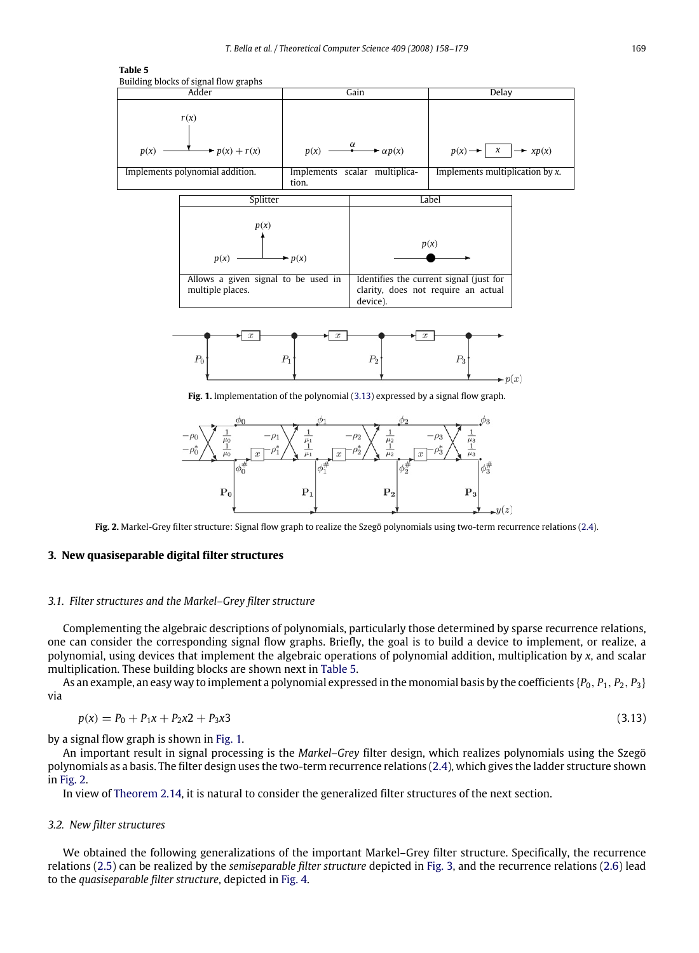<span id="page-12-2"></span>

<span id="page-12-3"></span>

<span id="page-12-4"></span>**Fig. 2.** Markel-Grey filter structure: Signal flow graph to realize the Szegö polynomials using two-term recurrence relations [\(2.4\)](#page-8-0).

# <span id="page-12-0"></span>**3. New quasiseparable digital filter structures**

# *3.1. Filter structures and the Markel–Grey filter structure*

Complementing the algebraic descriptions of polynomials, particularly those determined by sparse recurrence relations, one can consider the corresponding signal flow graphs. Briefly, the goal is to build a device to implement, or realize, a polynomial, using devices that implement the algebraic operations of polynomial addition, multiplication by *x*, and scalar multiplication. These building blocks are shown next in [Table](#page-12-2) [5.](#page-12-2)

<span id="page-12-1"></span>As an example, an easy way to implement a polynomial expressed in the monomial basis by the coefficients {*P*0, *P*1, *P*2, *P*3} via

$$
p(x) = P_0 + P_1 x + P_2 x^2 + P_3 x^3 \tag{3.13}
$$

by a signal flow graph is shown in [Fig.](#page-12-3) [1.](#page-12-3)

An important result in signal processing is the *Markel–Grey* filter design, which realizes polynomials using the Szegö polynomials as a basis. The filter design uses the two-term recurrence relations [\(2.4\)](#page-8-0), which gives the ladder structure shown in [Fig.](#page-12-4) [2.](#page-12-4)

In view of [Theorem](#page-8-5) [2.14,](#page-8-5) it is natural to consider the generalized filter structures of the next section.

#### *3.2. New filter structures*

We obtained the following generalizations of the important Markel–Grey filter structure. Specifically, the recurrence relations [\(2.5\)](#page-8-2) can be realized by the *semiseparable filter structure* depicted in [Fig.](#page-13-1) [3,](#page-13-1) and the recurrence relations [\(2.6\)](#page-8-3) lead to the *quasiseparable filter structure*, depicted in [Fig.](#page-13-2) [4.](#page-13-2)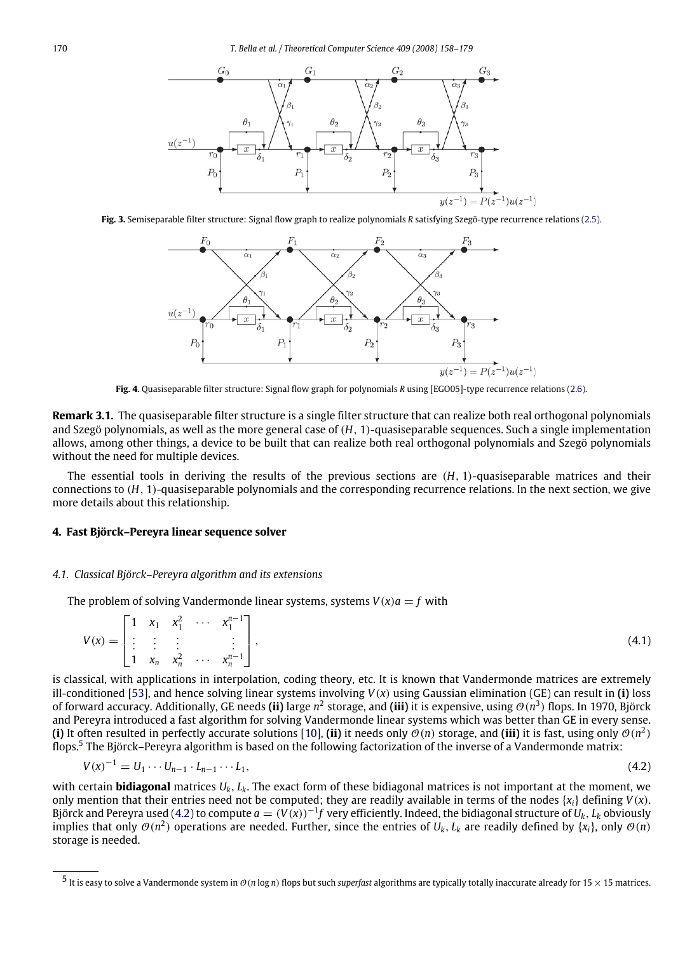<span id="page-13-1"></span>

<span id="page-13-2"></span>**Fig. 3.** Semiseparable filter structure: Signal flow graph to realize polynomials *R* satisfying Szegö-type recurrence relations [\(2.5\)](#page-8-2).



**Fig. 4.** Quasiseparable filter structure: Signal flow graph for polynomials *R* using [EGO05]-type recurrence relations [\(2.6\)](#page-8-3).

**Remark 3.1.** The quasiseparable filter structure is a single filter structure that can realize both real orthogonal polynomials and Szegö polynomials, as well as the more general case of (*H*, 1)-quasiseparable sequences. Such a single implementation allows, among other things, a device to be built that can realize both real orthogonal polynomials and Szegö polynomials without the need for multiple devices.

The essential tools in deriving the results of the previous sections are (*H*, 1)-quasiseparable matrices and their connections to (*H*, 1)-quasiseparable polynomials and the corresponding recurrence relations. In the next section, we give more details about this relationship.

# <span id="page-13-0"></span>**4. Fast Björck–Pereyra linear sequence solver**

### *4.1. Classical Björck–Pereyra algorithm and its extensions*

The problem of solving Vandermonde linear systems, systems  $V(x)a = f$  with

<span id="page-13-5"></span>
$$
V(x) = \begin{bmatrix} 1 & x_1 & x_1^2 & \cdots & x_1^{n-1} \\ \vdots & \vdots & \vdots & & \vdots \\ 1 & x_n & x_n^2 & \cdots & x_n^{n-1} \end{bmatrix},
$$
(4.1)

is classical, with applications in interpolation, coding theory, etc. It is known that Vandermonde matrices are extremely ill-conditioned [\[53\]](#page-22-32), and hence solving linear systems involving *V*(*x*) using Gaussian elimination (GE) can result in **(i)** loss of forward accuracy. Additionally, GE needs **(ii)** large *n* 2 storage, and **(iii)** it is expensive, using O(*n* 3 ) flops. In 1970, Björck and Pereyra introduced a fast algorithm for solving Vandermonde linear systems which was better than GE in every sense. **(i)** It often resulted in perfectly accurate solutions [\[10\]](#page-21-5), **(ii)** it needs only  $\mathcal{O}(n)$  storage, and **(iii)** it is fast, using only  $\mathcal{O}(n^2)$ flops.<sup>[5](#page-13-3)</sup> The Björck–Pereyra algorithm is based on the following factorization of the inverse of a Vandermonde matrix:

<span id="page-13-4"></span>
$$
V(x)^{-1} = U_1 \cdots U_{n-1} \cdot L_{n-1} \cdots L_1,\tag{4.2}
$$

with certain **bidiagonal** matrices *Uk*, *Lk*. The exact form of these bidiagonal matrices is not important at the moment, we only mention that their entries need not be computed; they are readily available in terms of the nodes  $\{x_i\}$  defining  $V(x)$ . Björck and Pereyra used [\(4.2\)](#page-13-4) to compute  $a=(V(x))^{-1}f$  very efficiently. Indeed, the bidiagonal structure of  $U_k$ ,  $L_k$  obviously implies that only  $\mathcal{O}(n^2)$  operations are needed. Further, since the entries of  $U_k$ ,  $L_k$  are readily defined by { $x_i$ }, only  $\mathcal{O}(n)$ storage is needed.

<span id="page-13-3"></span><sup>5</sup> It is easy to solve a Vandermonde system in O(*<sup>n</sup>* log *<sup>n</sup>*) flops but such *superfast* algorithms are typically totally inaccurate already for 15 × 15 matrices.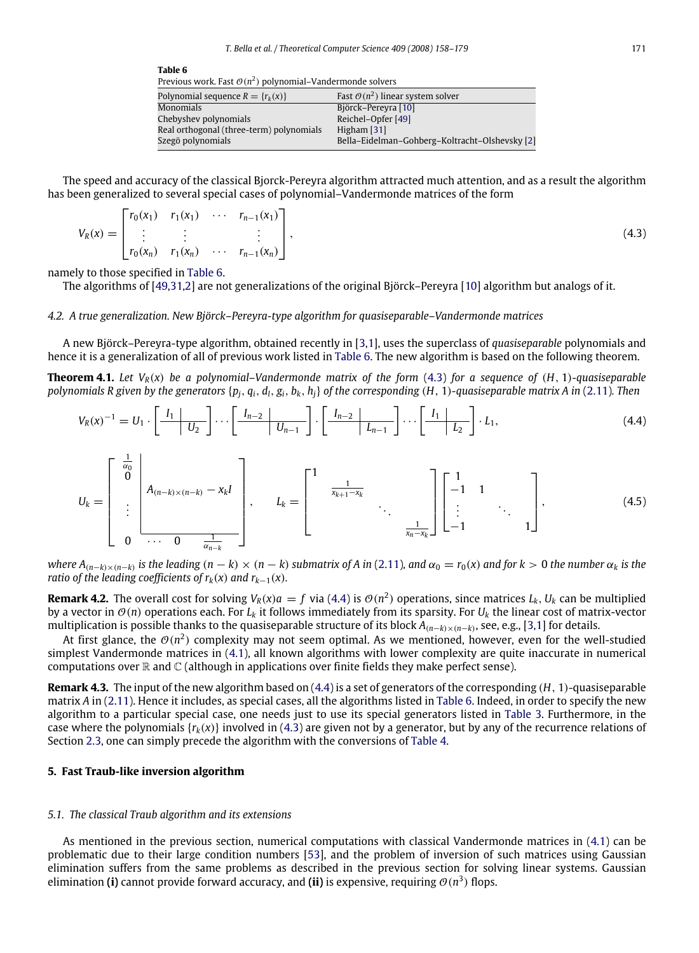<span id="page-14-2"></span><span id="page-14-1"></span>

| Previous work. Fast $O(n^2)$ polynomial–Vandermonde solvers |                                                |
|-------------------------------------------------------------|------------------------------------------------|
| Polynomial sequence $R = \{r_k(x)\}\$                       | Fast $\mathcal{O}(n^2)$ linear system solver   |
| Monomials                                                   | Björck-Pereyra [10]                            |
| Chebyshev polynomials                                       | Reichel-Opfer [49]                             |
| Real orthogonal (three-term) polynomials                    | Higham [31]                                    |
| Szegö polynomials                                           | Bella-Eidelman-Gohberg-Koltracht-Olshevsky [2] |
|                                                             |                                                |

The speed and accuracy of the classical Bjorck-Pereyra algorithm attracted much attention, and as a result the algorithm has been generalized to several special cases of polynomial–Vandermonde matrices of the form

$$
V_R(x) = \begin{bmatrix} r_0(x_1) & r_1(x_1) & \cdots & r_{n-1}(x_1) \\ \vdots & \vdots & & \vdots \\ r_0(x_n) & r_1(x_n) & \cdots & r_{n-1}(x_n) \end{bmatrix},
$$
\n(4.3)

namely to those specified in [Table](#page-14-1) [6.](#page-14-1)

**Table 6**

The algorithms of [\[49,](#page-22-33)[31](#page-22-34)[,2\]](#page-21-1) are not generalizations of the original Björck–Pereyra [\[10\]](#page-21-5) algorithm but analogs of it.

#### *4.2. A true generalization. New Björck–Pereyra-type algorithm for quasiseparable–Vandermonde matrices*

A new Björck–Pereyra-type algorithm, obtained recently in [\[3,](#page-21-6)[1\]](#page-21-3), uses the superclass of *quasiseparable* polynomials and hence it is a generalization of all of previous work listed in [Table](#page-14-1) [6.](#page-14-1) The new algorithm is based on the following theorem.

**Theorem 4.1.** Let  $V_R(x)$  be a polynomial–Vandermonde matrix of the form [\(4.3\)](#page-14-2) for a sequence of (*H*, 1)*-quasiseparable* polynomials R given by the generators  $\{p_i, q_i, d_l, g_i, b_k, h_i\}$  of the corresponding  $(H, 1)$ -quasiseparable matrix A in [\(2.11\)](#page-10-1). Then

<span id="page-14-3"></span>
$$
V_R(x)^{-1} = U_1 \cdot \left[ \begin{array}{c|c} I_1 & \overline{U_2} \\ \hline & \overline{U_2} \end{array} \right] \cdots \left[ \begin{array}{c|c} I_{n-2} & \overline{U_{n-1}} \\ \hline & \overline{U_{n-1}} \end{array} \right] \cdot \left[ \begin{array}{c|c} I_{n-2} & \overline{U_{n-1}} \\ \hline & \overline{L_{n-1}} \end{array} \right] \cdots \left[ \begin{array}{c|c} I_1 & \overline{L_2} \\ \hline & \overline{L_2} \end{array} \right] \cdot L_1,\tag{4.4}
$$

$$
U_{k} = \begin{bmatrix} \frac{1}{\alpha_{0}} \\ 0 \\ \vdots \\ 0 \end{bmatrix} A_{(n-k)\times(n-k)} - x_{k}I \\ \vdots \\ 0 \cdots 0 \cdots 0 \frac{1}{\alpha_{n-k}} \end{bmatrix}, \qquad L_{k} = \begin{bmatrix} 1 & & & & \\ & \frac{1}{x_{k+1} - x_{k}} & & & \\ & & \ddots & \\ & & & \frac{1}{x_{n} - x_{k}} \end{bmatrix} \begin{bmatrix} 1 & & & \\ -1 & 1 & & \\ \vdots & & \ddots & \\ -1 & & & 1 \end{bmatrix}, \qquad (4.5)
$$

where  $A_{(n-k)\times(n-k)}$  is the leading  $(n-k)\times(n-k)$  submatrix of A in [\(2.11\)](#page-10-1), and  $\alpha_0=r_0(x)$  and for  $k>0$  the number  $\alpha_k$  is the *ratio of the leading coefficients of*  $r_k(x)$  *and*  $r_{k-1}(x)$ *.* 

**Remark 4.2.** The overall cost for solving  $V_R(x)a = f$  via [\(4.4\)](#page-14-3) is  $\mathcal{O}(n^2)$  operations, since matrices  $L_k$ ,  $U_k$  can be multiplied by a vector in  $\mathcal{O}(n)$  operations each. For  $L_k$  it follows immediately from its sparsity. For  $U_k$  the linear cost of matrix-vector multiplication is possible thanks to the quasiseparable structure of its block *A*(*n*−*k*)×(*n*−*k*) , see, e.g., [\[3,](#page-21-6)[1\]](#page-21-3) for details.

At first glance, the  $\mathcal{O}(n^2)$  complexity may not seem optimal. As we mentioned, however, even for the well-studied simplest Vandermonde matrices in [\(4.1\)](#page-13-5), all known algorithms with lower complexity are quite inaccurate in numerical computations over  $\mathbb R$  and  $\mathbb C$  (although in applications over finite fields they make perfect sense).

<span id="page-14-4"></span>**Remark 4.3.** The input of the new algorithm based on [\(4.4\)](#page-14-3) is a set of generators of the corresponding (*H*, 1)-quasiseparable matrix *A* in [\(2.11\)](#page-10-1). Hence it includes, as special cases, all the algorithms listed in [Table](#page-14-1) [6.](#page-14-1) Indeed, in order to specify the new algorithm to a particular special case, one needs just to use its special generators listed in [Table](#page-11-2) [3.](#page-11-2) Furthermore, in the case where the polynomials  $\{r_k(x)\}$  involved in [\(4.3\)](#page-14-2) are given not by a generator, but by any of the recurrence relations of Section [2.3,](#page-8-1) one can simply precede the algorithm with the conversions of [Table](#page-11-3) [4.](#page-11-3)

# <span id="page-14-0"></span>**5. Fast Traub-like inversion algorithm**

#### *5.1. The classical Traub algorithm and its extensions*

As mentioned in the previous section, numerical computations with classical Vandermonde matrices in [\(4.1\)](#page-13-5) can be problematic due to their large condition numbers [\[53\]](#page-22-32), and the problem of inversion of such matrices using Gaussian elimination suffers from the same problems as described in the previous section for solving linear systems. Gaussian elimination **(i)** cannot provide forward accuracy, and **(ii)** is expensive, requiring  $O(n^3)$  flops.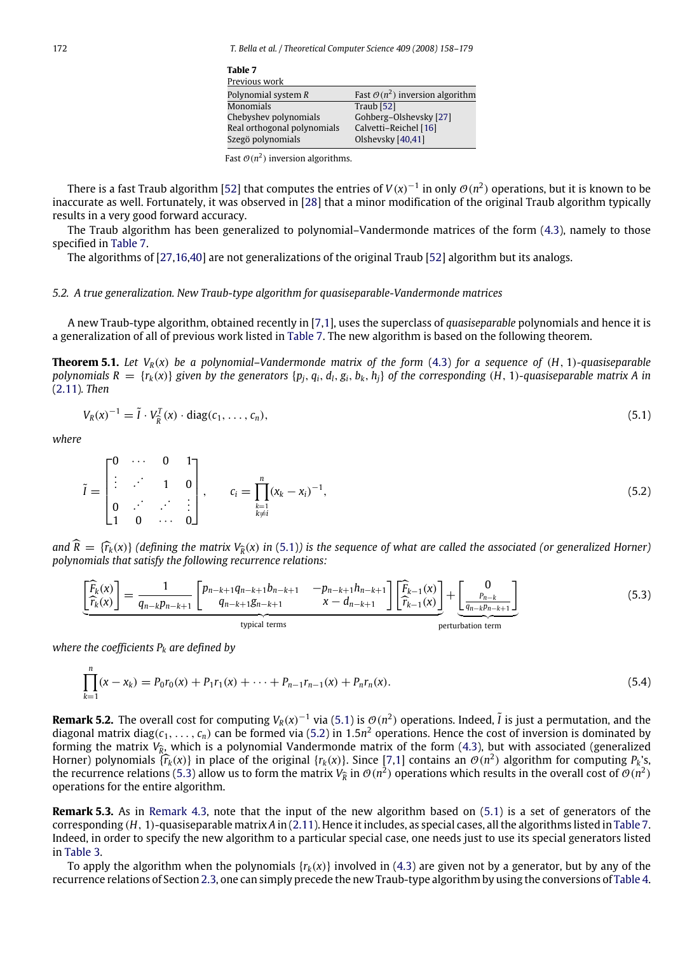<span id="page-15-0"></span>

| Table 7                     |                                             |
|-----------------------------|---------------------------------------------|
| Previous work               |                                             |
| Polynomial system $R$       | Fast $\mathcal{O}(n^2)$ inversion algorithm |
| <b>Monomials</b>            | Traub [52]                                  |
| Chebyshev polynomials       | Gohberg-Olshevsky [27]                      |
| Real orthogonal polynomials | Calvetti-Reichel [16]                       |
| Szegö polynomials           | Olshevsky [40,41]                           |
|                             |                                             |

|  |  | Fast $\mathcal{O}(n^2)$ inversion algorithms. |
|--|--|-----------------------------------------------|
|--|--|-----------------------------------------------|

There is a fast Traub algorithm [\[52\]](#page-22-35) that computes the entries of  $V(x)^{-1}$  in only  $\mathcal{O}(n^2)$  operations, but it is known to be inaccurate as well. Fortunately, it was observed in [\[28\]](#page-22-38) that a minor modification of the original Traub algorithm typically results in a very good forward accuracy.

The Traub algorithm has been generalized to polynomial–Vandermonde matrices of the form [\(4.3\)](#page-14-2), namely to those specified in [Table](#page-15-0) [7.](#page-15-0)

The algorithms of [\[27](#page-22-36)[,16,](#page-22-37)[40\]](#page-22-29) are not generalizations of the original Traub [\[52\]](#page-22-35) algorithm but its analogs.

# *5.2. A true generalization. New Traub-type algorithm for quasiseparable-Vandermonde matrices*

<span id="page-15-3"></span>typical terms

A new Traub-type algorithm, obtained recently in [\[7](#page-21-7)[,1\]](#page-21-3), uses the superclass of *quasiseparable* polynomials and hence it is a generalization of all of previous work listed in [Table](#page-15-0) [7.](#page-15-0) The new algorithm is based on the following theorem.

**Theorem 5.1.** Let  $V_R(x)$  be a polynomial–Vandermonde matrix of the form [\(4.3\)](#page-14-2) for a sequence of (*H*, 1)*-quasiseparable* polynomials  $R = {r_k(x)}$  given by the generators  ${p_i, q_i, d_i, g_i, b_k, h_i}$  of the corresponding (H, 1)-quasiseparable matrix A in [\(2.11\)](#page-10-1)*. Then*

<span id="page-15-2"></span><span id="page-15-1"></span>
$$
V_R(x)^{-1} = \tilde{I} \cdot V_R^T(x) \cdot \text{diag}(c_1, \dots, c_n), \tag{5.1}
$$

*where*

$$
\tilde{I} = \begin{bmatrix} 0 & \cdots & 0 & 1 \\ \vdots & \ddots & 1 & 0 \\ 0 & \cdots & \ddots & \vdots \\ 1 & 0 & \cdots & 0 \end{bmatrix}, \qquad c_i = \prod_{\substack{k=1 \\ k \neq i}}^n (x_k - x_i)^{-1}, \tag{5.2}
$$

*and*  $\widehat{R} = \{ \widehat{r}_k(x) \}$  *(defining the matrix*  $V_{\widehat{R}}(x)$  in [\(5.1\)](#page-15-1)) is the sequence of what are called the associated (or generalized Horner) *nolynomials that satisfy the following recurrence relations: polynomials that satisfy the following recurrence relations:*

$$
\left[\frac{\widehat{F}_k(x)}{\widehat{r}_k(x)}\right] = \frac{1}{q_{n-k}p_{n-k+1}} \left[\begin{array}{cc} p_{n-k+1}q_{n-k+1}b_{n-k+1} & -p_{n-k+1}h_{n-k+1} \ -q_{n-k+1}g_{n-k+1} & x - d_{n-k+1} \end{array}\right] \left[\frac{\widehat{F}_{k-1}(x)}{\widehat{r}_{k-1}(x)}\right] + \left[\begin{array}{c} 0 \ -p_{n-k}g_{n-k} \ -q_{n-k}g_{n-k+1}g_{n-k+1} & x - d_{n-k+1} \end{array}\right] \tag{5.3}
$$

*where the coefficients P<sup>k</sup> are defined by*

$$
\prod_{k=1}^{n} (x - x_k) = P_0 r_0(x) + P_1 r_1(x) + \dots + P_{n-1} r_{n-1}(x) + P_n r_n(x).
$$
\n(5.4)

**Remark 5.2.** The overall cost for computing  $V_R(x)^{-1}$  via [\(5.1\)](#page-15-1) is  $\mathcal{O}(n^2)$  operations. Indeed,  $\tilde{l}$  is just a permutation, and the diagonal matrix diag( $c_1, \ldots, c_n$ ) can be formed via [\(5.2\)](#page-15-2) in 1.5 $n^2$  operations. Hence the cost of inversion is dominated by forming the matrix *V*<sub>R</sub>, which is a polynomial Vandermonde matrix of the form [\(4.3\)](#page-14-2), but with associated (generalized<br>Herner) polynomials (x (y)) in place of the eriginal (x (y)), Since [7.1] centains an  $\mathcal{O}(n^2)$  alg Horner) polynomials  $\{\hat{f}_k(x)\}$  in place of the original  $\{r_k(x)\}$ . Since [\[7,](#page-21-7)[1\]](#page-21-3) contains an  $\mathcal{O}(n^2)$  algorithm for computing  $P_k$ 's, the properties of  $\mathcal{O}(n^2)$  for  $\mathcal{O}(n^2)$  original  $\mathcal{O}(n^2)$  original subj the recurrence relations [\(5.3\)](#page-15-3) allow us to form the matrix  $V_{\hat{R}}$  in  $\mathcal{O}(n^2)$  operations which results in the overall cost of  $\mathcal{O}(n^2)$ <br>consections for the optical describing operations for the entire algorithm.

**Remark 5.3.** As in [Remark](#page-14-4) [4.3,](#page-14-4) note that the input of the new algorithm based on [\(5.1\)](#page-15-1) is a set of generators of the corresponding (*H*, 1)-quasiseparable matrix *A* in [\(2.11\)](#page-10-1). Hence it includes, as special cases, all the algorithms listed in [Table](#page-15-0) [7.](#page-15-0) Indeed, in order to specify the new algorithm to a particular special case, one needs just to use its special generators listed in [Table](#page-11-2) [3.](#page-11-2)

To apply the algorithm when the polynomials  $\{r_k(x)\}$  involved in [\(4.3\)](#page-14-2) are given not by a generator, but by any of the recurrence relations of Section [2.3,](#page-8-1) one can simply precede the new Traub-type algorithm by using the conversions of [Table](#page-11-3) [4.](#page-11-3)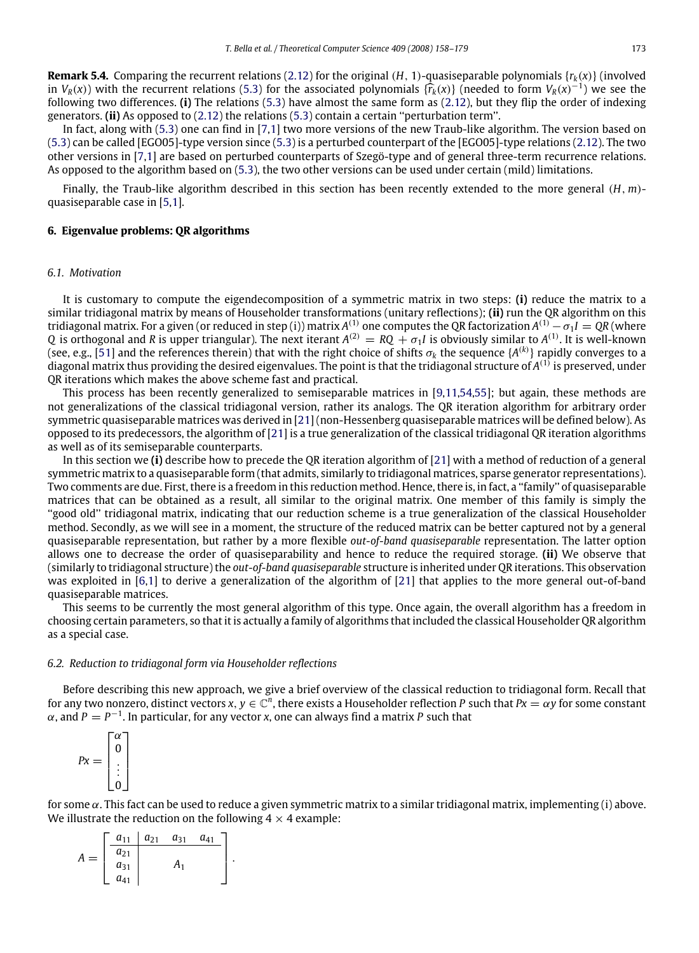**Remark 5.4.** Comparing the recurrent relations [\(2.12\)](#page-10-2) for the original (*H*, 1)-quasiseparable polynomials  $\{r_k(x)\}$  (involved in *V*<sub>*R*</sub>(*x*)) with the recurrent relations [\(5.3\)](#page-15-3) for the associated polynomials  $\{\hat{r}_k(x)\}$  (needed to form *V<sub>R</sub>*(*x*)<sup>-1</sup>) we see the following two differences (i) The relations (5.3) have almost the same form as ( following two differences. **(i)** The relations [\(5.3\)](#page-15-3) have almost the same form as [\(2.12\)](#page-10-2), but they flip the order of indexing generators. **(ii)** As opposed to [\(2.12\)](#page-10-2) the relations [\(5.3\)](#page-15-3) contain a certain ''perturbation term''.

In fact, along with [\(5.3\)](#page-15-3) one can find in [\[7](#page-21-7)[,1\]](#page-21-3) two more versions of the new Traub-like algorithm. The version based on [\(5.3\)](#page-15-3) can be called [EGO05]-type version since [\(5.3\)](#page-15-3) is a perturbed counterpart of the [EGO05]-type relations [\(2.12\)](#page-10-2). The two other versions in [\[7](#page-21-7)[,1\]](#page-21-3) are based on perturbed counterparts of Szegö-type and of general three-term recurrence relations. As opposed to the algorithm based on [\(5.3\)](#page-15-3), the two other versions can be used under certain (mild) limitations.

Finally, the Traub-like algorithm described in this section has been recently extended to the more general (*H*, *m*) quasiseparable case in [\[5,](#page-21-8)[1\]](#page-21-3).

#### <span id="page-16-0"></span>**6. Eigenvalue problems: QR algorithms**

#### *6.1. Motivation*

It is customary to compute the eigendecomposition of a symmetric matrix in two steps: **(i)** reduce the matrix to a similar tridiagonal matrix by means of Householder transformations (unitary reflections); **(ii)** run the QR algorithm on this tridiagonal matrix. For a given (or reduced in step (i)) matrix  $A^{(1)}$  one computes the QR factorization  $A^{(1)}-\sigma_1I=$  QR (where *Q* is orthogonal and *R* is upper triangular). The next iterant  $A^{(2)} = RQ + \sigma_1 I$  is obviously similar to  $A^{(1)}$ . It is well-known (see, e.g., [\[51\]](#page-22-10) and the references therein) that with the right choice of shifts  $\sigma_k$  the sequence { $A^{(k)}$ } rapidly converges to a diagonal matrix thus providing the desired eigenvalues. The point is that the tridiagonal structure of  $A^{(1)}$  is preserved, under QR iterations which makes the above scheme fast and practical.

This process has been recently generalized to semiseparable matrices in [\[9,](#page-21-0)[11](#page-21-9)[,54,](#page-22-39)[55\]](#page-22-40); but again, these methods are not generalizations of the classical tridiagonal version, rather its analogs. The QR iteration algorithm for arbitrary order symmetric quasiseparable matrices was derived in [\[21\]](#page-22-41) (non-Hessenberg quasiseparable matrices will be defined below). As opposed to its predecessors, the algorithm of [\[21\]](#page-22-41) is a true generalization of the classical tridiagonal QR iteration algorithms as well as of its semiseparable counterparts.

In this section we **(i)** describe how to precede the QR iteration algorithm of [\[21\]](#page-22-41) with a method of reduction of a general symmetric matrix to a quasiseparable form (that admits, similarly to tridiagonal matrices, sparse generator representations). Two comments are due. First, there is a freedom in this reduction method. Hence, there is, in fact, a ''family'' of quasiseparable matrices that can be obtained as a result, all similar to the original matrix. One member of this family is simply the ''good old'' tridiagonal matrix, indicating that our reduction scheme is a true generalization of the classical Householder method. Secondly, as we will see in a moment, the structure of the reduced matrix can be better captured not by a general quasiseparable representation, but rather by a more flexible *out-of-band quasiseparable* representation. The latter option allows one to decrease the order of quasiseparability and hence to reduce the required storage. **(ii)** We observe that (similarly to tridiagonal structure) the *out-of-band quasiseparable* structure is inherited under QR iterations. This observation was exploited in [\[6](#page-21-10)[,1\]](#page-21-3) to derive a generalization of the algorithm of [\[21\]](#page-22-41) that applies to the more general out-of-band quasiseparable matrices.

This seems to be currently the most general algorithm of this type. Once again, the overall algorithm has a freedom in choosing certain parameters, so that it is actually a family of algorithms that included the classical Householder QR algorithm as a special case.

#### <span id="page-16-1"></span>*6.2. Reduction to tridiagonal form via Householder reflections*

Before describing this new approach, we give a brief overview of the classical reduction to tridiagonal form. Recall that for any two nonzero, distinct vectors  $x, y \in \mathbb{C}^n$ , there exists a Householder reflection P such that  $Px = \alpha y$  for some constant  $\alpha$ , and  $P = P^{-1}$ . In particular, for any vector *x*, one can always find a matrix P such that

$$
Px = \begin{bmatrix} \alpha \\ 0 \\ \vdots \\ 0 \end{bmatrix}
$$

for some  $\alpha$ . This fact can be used to reduce a given symmetric matrix to a similar tridiagonal matrix, implementing (i) above. We illustrate the reduction on the following  $4 \times 4$  example:

$$
A = \begin{bmatrix} a_{11} & a_{21} & a_{31} & a_{41} \\ a_{21} & & & \\ a_{31} & & A_1 & \\ a_{41} & & & \end{bmatrix}.
$$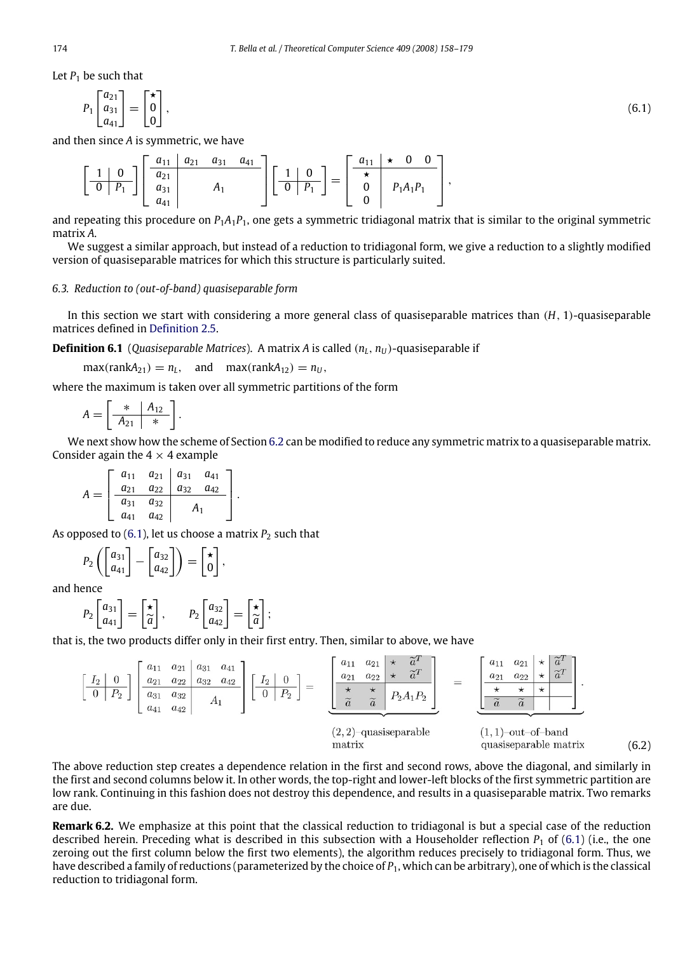Let  $P_1$  be such that

<span id="page-17-0"></span>
$$
P_1 \begin{bmatrix} a_{21} \\ a_{31} \\ a_{41} \end{bmatrix} = \begin{bmatrix} \star \\ 0 \\ 0 \end{bmatrix},\tag{6.1}
$$

and then since *A* is symmetric, we have

$$
\left[\begin{array}{c|c} 1 & 0 \\ \hline 0 & P_1 \end{array}\right] \left[\begin{array}{c|c} a_{11} & a_{21} & a_{31} & a_{41} \\ a_{21} & & A_1 \\ a_{41} & & A_1 \end{array}\right] \left[\begin{array}{c|c} 1 & 0 \\ \hline 0 & P_1 \end{array}\right] = \left[\begin{array}{c|c} a_{11} & \star & 0 & 0 \\ \star & & & \\ 0 & & P_1A_1P_1 \\ 0 & & & \end{array}\right],
$$

and repeating this procedure on *P*1*A*1*P*1, one gets a symmetric tridiagonal matrix that is similar to the original symmetric matrix *A*.

We suggest a similar approach, but instead of a reduction to tridiagonal form, we give a reduction to a slightly modified version of quasiseparable matrices for which this structure is particularly suited.

# *6.3. Reduction to (out-of-band) quasiseparable form*

In this section we start with considering a more general class of quasiseparable matrices than (*H*, 1)-quasiseparable matrices defined in [Definition](#page-6-2) [2.5.](#page-6-2)

<span id="page-17-2"></span>**Definition 6.1** (*Quasiseparable Matrices*). A matrix *A* is called  $(n_L, n_U)$ -quasiseparable if

 $max(rankA_{21}) = n_L$ , and  $max(rankA_{12}) = n_U$ ,

where the maximum is taken over all symmetric partitions of the form

$$
A = \left[\begin{array}{c|c}\n* & A_{12} \\
\hline\nA_{21} & * \n\end{array}\right].
$$

We next show how the scheme of Section [6.2](#page-16-1) can be modified to reduce any symmetric matrix to a quasiseparable matrix. Consider again the  $4 \times 4$  example

$$
A = \begin{bmatrix} a_{11} & a_{21} & a_{31} & a_{41} \\ a_{21} & a_{22} & a_{32} & a_{42} \\ \hline a_{31} & a_{32} & A_1 \end{bmatrix}.
$$

As opposed to  $(6.1)$ , let us choose a matrix  $P_2$  such that

$$
P_2\left(\begin{bmatrix}a_{31}\\a_{41}\end{bmatrix}-\begin{bmatrix}a_{32}\\a_{42}\end{bmatrix}\right)=\begin{bmatrix}\star\\0\end{bmatrix},\end{bmatrix}
$$

and hence

$$
P_2\begin{bmatrix} a_{31} \\ a_{41} \end{bmatrix} = \begin{bmatrix} \star \\ \widetilde{a} \end{bmatrix}, \qquad P_2\begin{bmatrix} a_{32} \\ a_{42} \end{bmatrix} = \begin{bmatrix} \star \\ \widetilde{a} \end{bmatrix};
$$

that is, the two products differ only in their first entry. Then, similar to above, we have

$$
\begin{bmatrix}\nI_2 & 0 \\
0 & P_2\n\end{bmatrix}\n\begin{bmatrix}\na_{11} & a_{21} & a_{31} & a_{41} \\
a_{21} & a_{22} & a_{32} & a_{42} \\
a_{31} & a_{32} & A_1\n\end{bmatrix}\n\begin{bmatrix}\nI_2 & 0 \\
0 & P_2\n\end{bmatrix} = \n\begin{bmatrix}\na_{11} & a_{21} & \star & \tilde{a}^T \\
a_{21} & a_{22} & \star & \tilde{a}^T \\
\hline\n\tilde{a} & \tilde{a} & P_2A_1P_2\n\end{bmatrix} = \n\begin{bmatrix}\na_{11} & a_{21} & \star & \tilde{a}^T \\
a_{21} & a_{22} & \star & \tilde{a}^T \\
\hline\n\tilde{a} & \tilde{a} & P_2A_1P_2\n\end{bmatrix} = \n\begin{bmatrix}\na_{11} & a_{21} & \star & \tilde{a}^T \\
a_{21} & a_{22} & \star & \tilde{a}^T \\
\hline\n\tilde{a} & \tilde{a} & P_2A_1P_2\n\end{bmatrix}.
$$
\n
$$
(1, 1)-\text{out-of-band quasisparable matrix}
$$

<span id="page-17-1"></span>(6.2)

The above reduction step creates a dependence relation in the first and second rows, above the diagonal, and similarly in the first and second columns below it. In other words, the top-right and lower-left blocks of the first symmetric partition are low rank. Continuing in this fashion does not destroy this dependence, and results in a quasiseparable matrix. Two remarks are due.

**Remark 6.2.** We emphasize at this point that the classical reduction to tridiagonal is but a special case of the reduction described herein. Preceding what is described in this subsection with a Householder reflection *P*<sup>1</sup> of [\(6.1\)](#page-17-0) (i.e., the one zeroing out the first column below the first two elements), the algorithm reduces precisely to tridiagonal form. Thus, we have described a family of reductions (parameterized by the choice of *P*1, which can be arbitrary), one of which is the classical reduction to tridiagonal form.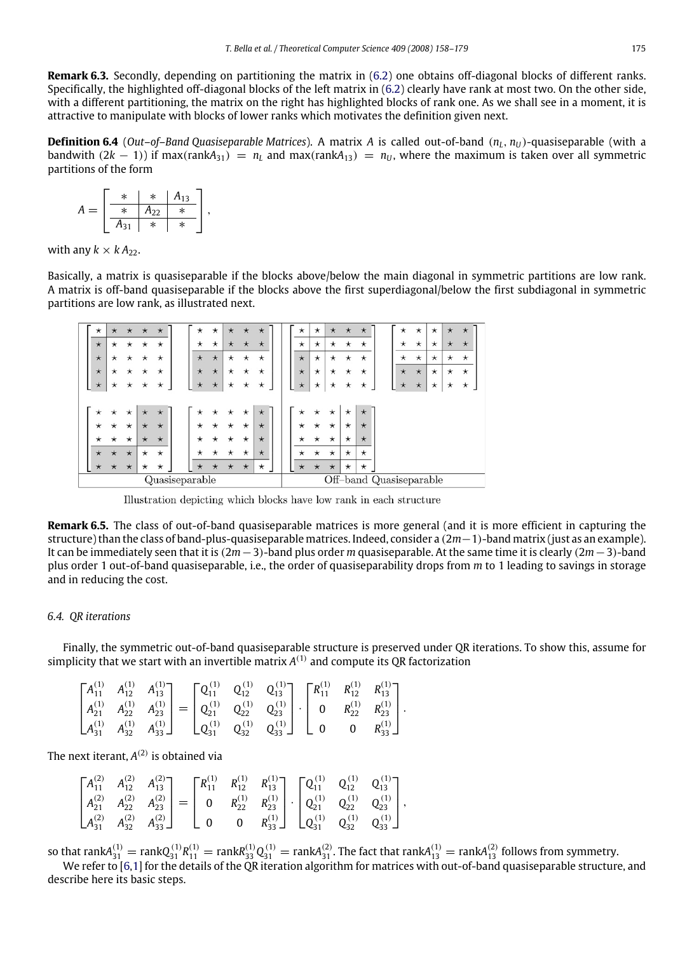**Remark 6.3.** Secondly, depending on partitioning the matrix in [\(6.2\)](#page-17-1) one obtains off-diagonal blocks of different ranks. Specifically, the highlighted off-diagonal blocks of the left matrix in [\(6.2\)](#page-17-1) clearly have rank at most two. On the other side, with a different partitioning, the matrix on the right has highlighted blocks of rank one. As we shall see in a moment, it is attractive to manipulate with blocks of lower ranks which motivates the definition given next.

**Definition 6.4** (*Out–of–Band Quasiseparable Matrices*). A matrix *A* is called out-of-band  $(n_l, n_l)$ -quasiseparable (with a bandwith  $(2k - 1)$ ) if max(rank $A_{31}$ ) =  $n_L$  and max(rank $A_{13}$ ) =  $n_U$ , where the maximum is taken over all symmetric partitions of the form

$$
A = \left[\begin{array}{c|c|c}\n* & * & A_{13} \\
\hline\n* & A_{22} & * \\
\hline\nA_{31} & * & * \n\end{array}\right],
$$

with any  $k \times k A_{22}$ .

Basically, a matrix is quasiseparable if the blocks above/below the main diagonal in symmetric partitions are low rank. A matrix is off-band quasiseparable if the blocks above the first superdiagonal/below the first subdiagonal in symmetric partitions are low rank, as illustrated next.

| $^\star$ | $\star$  | $\star$  | $\star$    | $\star$  | $^\star$       | $^\star$ | $\star$  | $\star$  | $\star$  | $^\star$ | $^\star$   | $\star$  | $\star$  | $\star$  | $^\star$                | $^\star$ | $\star$    | $\star$    | $\star$  |
|----------|----------|----------|------------|----------|----------------|----------|----------|----------|----------|----------|------------|----------|----------|----------|-------------------------|----------|------------|------------|----------|
| $\star$  | $\star$  | $^\star$ | $^\star$   | $^\star$ | $^{\star}$     | $\star$  | $\star$  | $\star$  | $\star$  | $^\star$ | $\star$    | $^\star$ | $\star$  | $^\star$ | $\star$                 | $\star$  | $^{\star}$ | $\star$    | $\star$  |
| $\star$  | $^\star$ | $^\star$ | $^\star$   | $^\star$ | $\star$        | $\star$  | $\star$  | $^\star$ | $^\star$ | $\star$  | $\star$    | $^\star$ | $\star$  | $^\star$ | $^\star$                | $\star$  | $^{\star}$ | $^{\star}$ | $^\star$ |
| $\star$  | $^\star$ | $^\star$ | $\star$    | $\star$  | $\star$        | $\star$  | $\star$  | $^\star$ | $\star$  | $\star$  | $^{\star}$ | $^\star$ | $^\star$ | $^\star$ | $\star$                 | $\star$  | $\star$    | $\star$    | $\star$  |
| $\star$  | $^\star$ | $^\star$ | $^\star$   | $^\star$ | $\star$        | $\star$  | $^\star$ | $^\star$ | $^\star$ | $\star$  | $^{\star}$ | $^\star$ | $^\star$ | $^\star$ | $\star$                 | $\star$  | $^{\star}$ | $^{\star}$ | $\star$  |
|          |          |          |            |          |                |          |          |          |          |          |            |          |          |          |                         |          |            |            |          |
| $^\star$ | $\star$  | $^\star$ | $\star$    | $\star$  | $^\star$       | $^\star$ | $\star$  | $\star$  | $\star$  | $^\star$ | $^\star$   | $\star$  | $\star$  | $\star$  |                         |          |            |            |          |
| $^\star$ | $^\star$ | $\star$  | $\star$    | $\star$  | $^\star$       | $^\star$ | $^\star$ | $\star$  | $\star$  | $^\star$ | $^\star$   | $^\star$ | $^\star$ | $\star$  |                         |          |            |            |          |
| $^\star$ | $\star$  | $\star$  | $\star$    | $\star$  | $^\star$       | $\star$  | $^\star$ | $\star$  | $\star$  | $^\star$ | $\star$    | $\star$  | $\star$  | $\star$  |                         |          |            |            |          |
| $\star$  | $\star$  | $\star$  | $^{\star}$ | $\star$  | $\star$        | $\star$  | $\star$  | $\star$  | $\star$  | $^\star$ | $\star$    | $\star$  | $\star$  | $\star$  |                         |          |            |            |          |
| $\star$  | $\star$  | $\star$  | $^\star$   | $\star$  | $\star$        | $\star$  | $\star$  | $\star$  | $^\star$ | $\star$  | $\star$    | $\star$  | $\star$  | $\star$  |                         |          |            |            |          |
|          |          |          |            |          | Quasiseparable |          |          |          |          |          |            |          |          |          | Off-band Quasiseparable |          |            |            |          |

Illustration depicting which blocks have low rank in each structure

**Remark 6.5.** The class of out-of-band quasiseparable matrices is more general (and it is more efficient in capturing the structure) than the class of band-plus-quasiseparable matrices. Indeed, consider a (2*m*−1)-band matrix (just as an example). It can be immediately seen that it is (2*m*−3)-band plus order *m* quasiseparable. At the same time it is clearly (2*m*−3)-band plus order 1 out-of-band quasiseparable, i.e., the order of quasiseparability drops from *m* to 1 leading to savings in storage and in reducing the cost.

# *6.4. QR iterations*

Finally, the symmetric out-of-band quasiseparable structure is preserved under QR iterations. To show this, assume for simplicity that we start with an invertible matrix  $A^{(1)}$  and compute its QR factorization

|  | $\begin{bmatrix} A_{11}^{(1)} & A_{12}^{(1)} & A_{13}^{(1)} \\ A_{21}^{(1)} & A_{22}^{(1)} & A_{23}^{(1)} \\ A_{31}^{(1)} & A_{32}^{(1)} & A_{33}^{(1)} \end{bmatrix} = \begin{bmatrix} \mathbf{Q}_{11}^{(1)} & \mathbf{Q}_{12}^{(1)} & \mathbf{Q}_{13}^{(1)} \\ \mathbf{Q}_{21}^{(1)} & \mathbf{Q}_{22}^{(1)} & \mathbf{Q}_{23}^{(1)} \\ \mathbf{Q}_{31}^{(1)} & \mathbf{Q}_{32}^{(1)} &$ |  |  |  |  |
|--|--------------------------------------------------------------------------------------------------------------------------------------------------------------------------------------------------------------------------------------------------------------------------------------------------------------------------------------------------------------------------------------------|--|--|--|--|

The next iterant,  $A^{(2)}$  is obtained via

|  | $\begin{bmatrix} A_{11}^{(2)} & A_{12}^{(2)} & A_{13}^{(2)} \\ A_{21}^{(2)} & A_{22}^{(2)} & A_{23}^{(2)} \\ A_{31}^{(2)} & A_{32}^{(2)} & A_{33}^{(2)} \end{bmatrix} = \begin{bmatrix} R_{11}^{(1)} & R_{12}^{(1)} & R_{13}^{(1)} \\ 0 & R_{22}^{(1)} & R_{23}^{(1)} \\ 0 & 0 & R_{33}^{(1)} \end{bmatrix} \cdot \begin{bmatrix} \mathbf{Q}_{11}^{(1)} & \mathbf{Q}_{12}^{(1)} & \math$ |  |  |  |
|--|------------------------------------------------------------------------------------------------------------------------------------------------------------------------------------------------------------------------------------------------------------------------------------------------------------------------------------------------------------------------------------------|--|--|--|

so that rank $A_{31}^{(1)} =$  rank $Q_{31}^{(1)}R_{11}^{(1)} =$  rank $R_{33}^{(1)}Q_{31}^{(1)} =$  rank $A_{31}^{(2)}$ . The fact that rank $A_{13}^{(1)} =$  rank $A_{13}^{(2)}$  follows from symmetry.

We refer to [\[6](#page-21-10)[,1\]](#page-21-3) for the details of the QR iteration algorithm for matrices with out-of-band quasiseparable structure, and describe here its basic steps.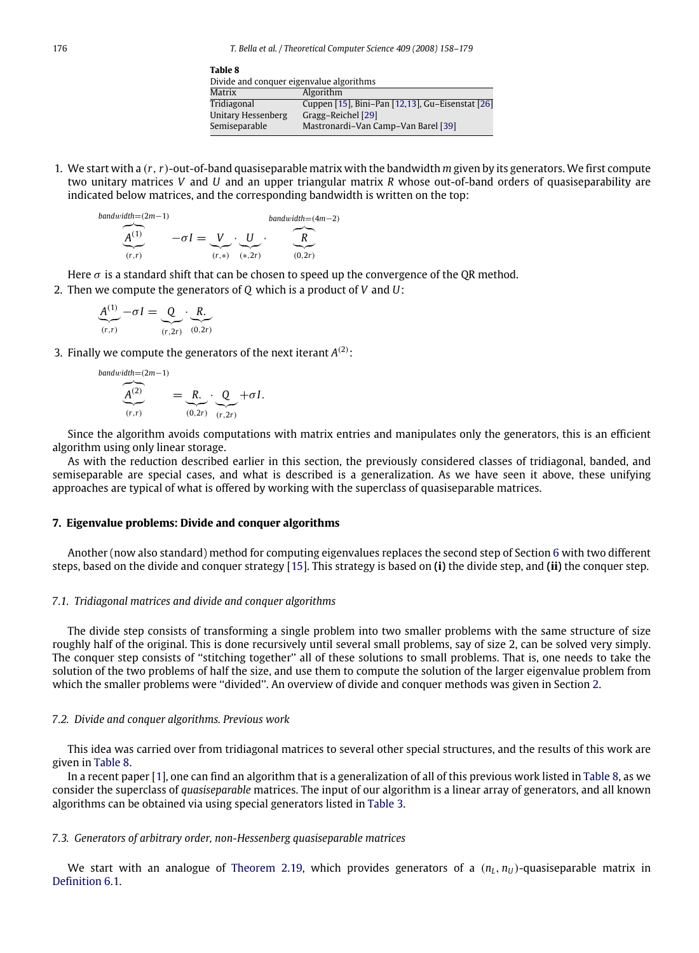<span id="page-19-1"></span>

| Table 8                                  |                                                  |  |  |  |  |  |  |
|------------------------------------------|--------------------------------------------------|--|--|--|--|--|--|
| Divide and conquer eigenvalue algorithms |                                                  |  |  |  |  |  |  |
| Matrix                                   | Algorithm                                        |  |  |  |  |  |  |
| Tridiagonal                              | Cuppen [15], Bini-Pan [12,13], Gu-Eisenstat [26] |  |  |  |  |  |  |
| Unitary Hessenberg                       | Gragg-Reichel [29]                               |  |  |  |  |  |  |
| Semiseparable                            | Mastronardi-Van Camp-Van Barel [39]              |  |  |  |  |  |  |
|                                          |                                                  |  |  |  |  |  |  |

1. We start with a (*r*,*r*)-out-of-band quasiseparable matrix with the bandwidth *m* given by its generators. We first compute two unitary matrices *V* and *U* and an upper triangular matrix *R* whose out-of-band orders of quasiseparability are indicated below matrices, and the corresponding bandwidth is written on the top:

$$
\underbrace{A^{(1)}}_{(r,r)} \qquad -\sigma I = \underbrace{V}_{(r,*)} \cdot \underbrace{U}_{(*,2r)} \cdot \underbrace{R}_{(0,2r)}
$$

Here  $\sigma$  is a standard shift that can be chosen to speed up the convergence of the QR method.

2. Then we compute the generators of *Q* which is a product of *V* and *U*:

$$
\underbrace{A^{(1)}}_{(r,r)} - \sigma I = \underbrace{Q}_{(r,2r)} \cdot \underbrace{R}_{(0,2r)}
$$

3. Finally we compute the generators of the next iterant  $A^{(2)}$ :

$$
\underbrace{A^{(2)}}_{(r,r)} = \underbrace{R.}_{(0,2r)} \cdot \underbrace{Q}_{(r,2r)} + \sigma I.
$$

Since the algorithm avoids computations with matrix entries and manipulates only the generators, this is an efficient algorithm using only linear storage.

As with the reduction described earlier in this section, the previously considered classes of tridiagonal, banded, and semiseparable are special cases, and what is described is a generalization. As we have seen it above, these unifying approaches are typical of what is offered by working with the superclass of quasiseparable matrices.

### <span id="page-19-0"></span>**7. Eigenvalue problems: Divide and conquer algorithms**

Another (now also standard) method for computing eigenvalues replaces the second step of Section [6](#page-16-0) with two different steps, based on the divide and conquer strategy [\[15\]](#page-22-24). This strategy is based on **(i)** the divide step, and **(ii)** the conquer step.

#### *7.1. Tridiagonal matrices and divide and conquer algorithms*

The divide step consists of transforming a single problem into two smaller problems with the same structure of size roughly half of the original. This is done recursively until several small problems, say of size 2, can be solved very simply. The conquer step consists of ''stitching together'' all of these solutions to small problems. That is, one needs to take the solution of the two problems of half the size, and use them to compute the solution of the larger eigenvalue problem from which the smaller problems were "divided". An overview of divide and conquer methods was given in Section [2.](#page-5-4)

#### *7.2. Divide and conquer algorithms. Previous work*

This idea was carried over from tridiagonal matrices to several other special structures, and the results of this work are given in [Table](#page-19-1) [8.](#page-19-1)

In a recent paper [\[1\]](#page-21-3), one can find an algorithm that is a generalization of all of this previous work listed in [Table](#page-19-1) [8,](#page-19-1) as we consider the superclass of *quasiseparable* matrices. The input of our algorithm is a linear array of generators, and all known algorithms can be obtained via using special generators listed in [Table](#page-11-2) [3.](#page-11-2)

### <span id="page-19-2"></span>*7.3. Generators of arbitrary order, non-Hessenberg quasiseparable matrices*

<span id="page-19-3"></span>We start with an analogue of [Theorem](#page-10-3) [2.19,](#page-10-3) which provides generators of a  $(n_L, n_U)$ -quasiseparable matrix in [Definition](#page-17-2) [6.1.](#page-17-2)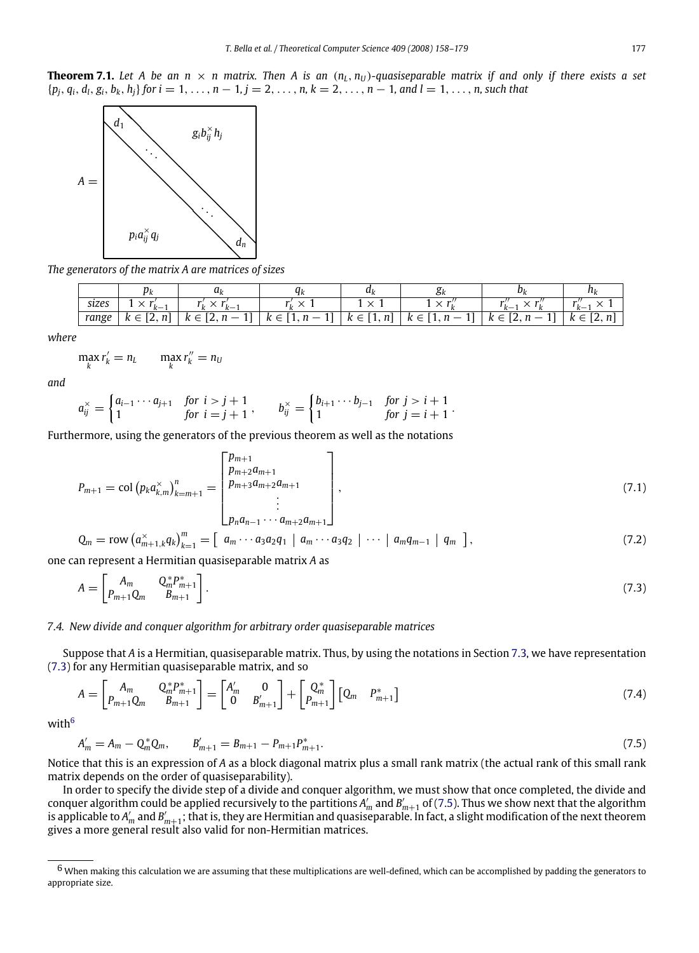**Theorem 7.1.** Let A be an  $n \times n$  matrix. Then A is an  $(n_L, n_U)$ -quasiseparable matrix if and only if there exists a set  $\{p_i, q_i, d_l, g_i, b_k, h_i\}$  for  $i = 1, \ldots, n - 1, j = 2, \ldots, n, k = 2, \ldots, n - 1$ , and  $l = 1, \ldots, n$ , such that



*The generators of the matrix A are matrices of sizes*

|       | νı          | uı                              |                         | u              | ΟК                                  |                                                                       | $\cdots$          |
|-------|-------------|---------------------------------|-------------------------|----------------|-------------------------------------|-----------------------------------------------------------------------|-------------------|
| sizes | $\cdot k$ . | ι.<br>$\mathbf{r}$<br><u>__</u> |                         |                | $\sqrt{ }$                          | $k-$                                                                  | $-1$<br>' k— .    |
| range | 14.         | $K \in [2, 1]$                  | $\kappa \in [1, n - 1]$ | $k \in [1, n]$ | $k \in \lceil 1, n - \rceil$<br>. . | $\sim$<br>$\overline{\phantom{m}}$<br>$\kappa \in$<br>$L, \mu$<br>-11 | $k \in$<br>[2, n] |

*where*

$$
\max_k r'_k = n_L \qquad \max_k r''_k = n_U
$$

*and*

$$
a_{ij}^{\times} = \begin{cases} a_{i-1} \cdots a_{j+1} & \text{for } i > j+1 \\ 1 & \text{for } i = j+1 \end{cases}, \qquad b_{ij}^{\times} = \begin{cases} b_{i+1} \cdots b_{j-1} & \text{for } j > i+1 \\ 1 & \text{for } j = i+1 \end{cases}.
$$

Furthermore, using the generators of the previous theorem as well as the notations

$$
P_{m+1} = \text{col}\left(p_k a_{k,m}^{\times}\right)_{k=m+1}^n = \begin{bmatrix} p_{m+1} \\ p_{m+2} a_{m+1} \\ p_{m+3} a_{m+2} a_{m+1} \\ \vdots \\ p_n a_{n-1} \cdots a_{m+2} a_{m+1} \end{bmatrix},\tag{7.1}
$$

<span id="page-20-0"></span>
$$
Q_m = \text{row} \left( a_{m+1,k}^{\times} q_k \right)_{k=1}^m = \left[ a_m \cdots a_3 a_2 q_1 \mid a_m \cdots a_3 q_2 \mid \cdots \mid a_m q_{m-1} \mid q_m \right], \tag{7.2}
$$

one can represent a Hermitian quasiseparable matrix *A* as

$$
A = \begin{bmatrix} A_m & Q_m^* P_{m+1}^* \\ P_{m+1} Q_m & B_{m+1} \end{bmatrix} .
$$
 (7.3)

# *7.4. New divide and conquer algorithm for arbitrary order quasiseparable matrices*

Suppose that *A* is a Hermitian, quasiseparable matrix. Thus, by using the notations in Section [7.3,](#page-19-2) we have representation [\(7.3\)](#page-20-0) for any Hermitian quasiseparable matrix, and so

$$
A = \begin{bmatrix} A_m & Q_m^* P_{m+1}^* \\ P_{m+1} Q_m & B_{m+1} \end{bmatrix} = \begin{bmatrix} A'_m & 0 \\ 0 & B'_{m+1} \end{bmatrix} + \begin{bmatrix} Q_m^* \\ P_{m+1} \end{bmatrix} \begin{bmatrix} Q_m & P_{m+1}^* \end{bmatrix}
$$
(7.4)

with<sup>[6](#page-20-1)</sup>

<span id="page-20-2"></span>
$$
A'_{m} = A_{m} - Q_{m}^{*} Q_{m}, \qquad B'_{m+1} = B_{m+1} - P_{m+1} P_{m+1}^{*}.
$$
\n(7.5)

Notice that this is an expression of *A* as a block diagonal matrix plus a small rank matrix (the actual rank of this small rank matrix depends on the order of quasiseparability).

In order to specify the divide step of a divide and conquer algorithm, we must show that once completed, the divide and conquer algorithm could be applied recursively to the partitions  $A'_m$  and  $B'_{m+1}$  of [\(7.5\)](#page-20-2). Thus we show next that the algorithm is applicable to  $A'_m$  and  $B'_{m+1}$ ; that is, they are Hermitian and quasiseparable. In fact, a slight modification of the next theorem gives a more general result also valid for non-Hermitian matrices.

<span id="page-20-1"></span> $^6$  When making this calculation we are assuming that these multiplications are well-defined, which can be accomplished by padding the generators to appropriate size.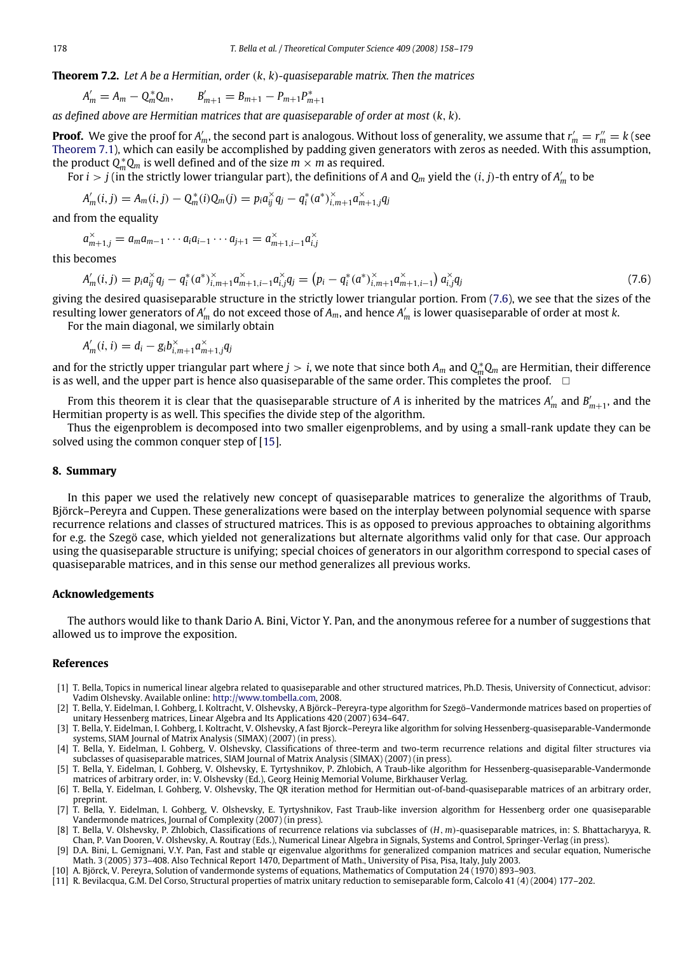**Theorem 7.2.** *Let A be a Hermitian, order* (*k*, *k*)*-quasiseparable matrix. Then the matrices*

$$
A'_{m} = A_{m} - Q_{m}^{*} Q_{m}, \qquad B'_{m+1} = B_{m+1} - P_{m+1} P_{m+1}^{*}
$$

*as defined above are Hermitian matrices that are quasiseparable of order at most* (*k*, *k*)*.*

**Proof.** We give the proof for  $A'_m$ , the second part is analogous. Without loss of generality, we assume that  $r'_m = r''_m = k$  (see [Theorem](#page-19-3) [7.1\)](#page-19-3), which can easily be accomplished by padding given generators with zeros as needed. With this assumption, the product  $Q_m^*Q_m$  is well defined and of the size  $m \times m$  as required.

For  $i > j$  (in the strictly lower triangular part), the definitions of A and  $Q_m$  yield the  $(i, j)$ -th entry of  $A'_m$  to be

$$
A'_{m}(i, j) = A_{m}(i, j) - Q_{m}^{*}(i)Q_{m}(j) = p_{i}a_{ij}^{*}q_{j} - q_{i}^{*}(a^{*})_{i, m+1}^{*}a_{m+1,j}^{*}q_{j}
$$

and from the equality

$$
a_{m+1,j}^{\times} = a_{m} a_{m-1} \cdots a_{i} a_{i-1} \cdots a_{j+1} = a_{m+1,i-1}^{\times} a_{i,j}^{\times}
$$

this becomes

<span id="page-21-11"></span>
$$
A'_{m}(i,j) = p_{i}a_{ij}^{x}q_{j} - q_{i}^{*}(a^{*})_{i,m+1}^{x}a_{m+1,i-1}^{x}a_{i,j}^{x}q_{j} = (p_{i} - q_{i}^{*}(a^{*})_{i,m+1}^{x}a_{m+1,i-1}^{x}) a_{i,j}^{x}q_{j}
$$
\n(7.6)

giving the desired quasiseparable structure in the strictly lower triangular portion. From [\(7.6\)](#page-21-11), we see that the sizes of the resulting lower generators of  $A'_m$  do not exceed those of  $A_m$ , and hence  $A'_m$  is lower quasiseparable of order at most  $k$ . For the main diagonal, we similarly obtain

 $A'_m(i, i) = d_i - g_i b_{i, m+1}^{\times} a_{m+1, j}^{\times} q_j$ 

and for the strictly upper triangular part where  $j > i$ , we note that since both  $A_m$  and  $Q_m^*Q_m$  are Hermitian, their difference is as well, and the upper part is hence also quasiseparable of the same order. This completes the proof.  $\Box$ 

From this theorem it is clear that the quasiseparable structure of *A* is inherited by the matrices  $A'_m$  and  $B'_{m+1}$ , and the Hermitian property is as well. This specifies the divide step of the algorithm.

Thus the eigenproblem is decomposed into two smaller eigenproblems, and by using a small-rank update they can be solved using the common conquer step of [\[15\]](#page-22-24).

# **8. Summary**

In this paper we used the relatively new concept of quasiseparable matrices to generalize the algorithms of Traub, Björck–Pereyra and Cuppen. These generalizations were based on the interplay between polynomial sequence with sparse recurrence relations and classes of structured matrices. This is as opposed to previous approaches to obtaining algorithms for e.g. the Szegö case, which yielded not generalizations but alternate algorithms valid only for that case. Our approach using the quasiseparable structure is unifying; special choices of generators in our algorithm correspond to special cases of quasiseparable matrices, and in this sense our method generalizes all previous works.

# **Acknowledgements**

The authors would like to thank Dario A. Bini, Victor Y. Pan, and the anonymous referee for a number of suggestions that allowed us to improve the exposition.

### **References**

- <span id="page-21-3"></span>[1] T. Bella, Topics in numerical linear algebra related to quasiseparable and other structured matrices, Ph.D. Thesis, University of Connecticut, advisor: Vadim Olshevsky. Available online: [http://www.tombella.com,](#page-1-5) 2008.
- <span id="page-21-1"></span>[2] T. Bella, Y. Eidelman, I. Gohberg, I. Koltracht, V. Olshevsky, A Björck–Pereyra-type algorithm for Szegö–Vandermonde matrices based on properties of unitary Hessenberg matrices, Linear Algebra and Its Applications 420 (2007) 634–647.
- <span id="page-21-6"></span>[3] T. Bella, Y. Eidelman, I. Gohberg, I. Koltracht, V. Olshevsky, A fast Bjorck–Pereyra like algorithm for solving Hessenberg-quasiseparable-Vandermonde systems, SIAM Journal of Matrix Analysis (SIMAX) (2007) (in press).
- <span id="page-21-2"></span>[4] T. Bella, Y. Eidelman, I. Gohberg, V. Olshevsky, Classifications of three-term and two-term recurrence relations and digital filter structures via subclasses of quasiseparable matrices, SIAM Journal of Matrix Analysis (SIMAX) (2007) (in press).
- <span id="page-21-8"></span>[5] T. Bella, Y. Eidelman, I. Gohberg, V. Olshevsky, E. Tyrtyshnikov, P. Zhlobich, A Traub-like algorithm for Hessenberg-quasiseparable-Vandermonde
- <span id="page-21-10"></span>matrices of arbitrary order, in: V. Olshevsky (Ed.), Georg Heinig Memorial Volume, Birkhauser Verlag.<br>[6] T. Bella, Y. Eidelman, I. Gohberg, V. Olshevsky, The QR iteration method for Hermitian out-of-band-quasiseparable ma preprint.
- <span id="page-21-7"></span>[7] T. Bella, Y. Eidelman, I. Gohberg, V. Olshevsky, E. Tyrtyshnikov, Fast Traub-like inversion algorithm for Hessenberg order one quasiseparable Vandermonde matrices, Journal of Complexity (2007) (in press).
- <span id="page-21-4"></span>[8] T. Bella, V. Olshevsky, P. Zhlobich, Classifications of recurrence relations via subclasses of (*H*, *m*)-quasiseparable matrices, in: S. Bhattacharyya, R. Chan, P. Van Dooren, V. Olshevsky, A. Routray (Eds.), Numerical Linear Algebra in Signals, Systems and Control, Springer-Verlag (in press).
- <span id="page-21-0"></span>[9] D.A. Bini, L. Gemignani, V.Y. Pan, Fast and stable qr eigenvalue algorithms for generalized companion matrices and secular equation, Numerische Math. 3 (2005) 373–408. Also Technical Report 1470, Department of Math., University of Pisa, Pisa, Italy, July 2003.
- <span id="page-21-5"></span>[10] A. Björck, V. Pereyra, Solution of vandermonde systems of equations, Mathematics of Computation 24 (1970) 893–903.
- <span id="page-21-9"></span>[11] R. Bevilacqua, G.M. Del Corso, Structural properties of matrix unitary reduction to semiseparable form, Calcolo 41 (4) (2004) 177–202.